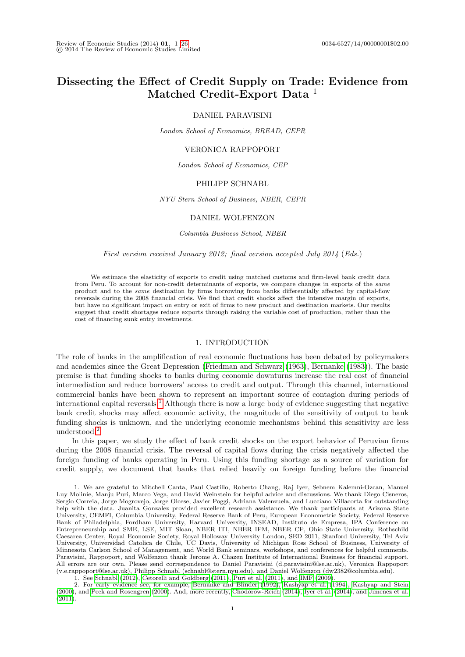# <span id="page-0-0"></span>Dissecting the Effect of Credit Supply on Trade: Evidence from Matched Credit-Export Data<sup>1</sup>

#### DANIEL PARAVISINI

London School of Economics, BREAD, CEPR

## VERONICA RAPPOPORT

London School of Economics, CEP

# PHILIPP SCHNABL

NYU Stern School of Business, NBER, CEPR

## DANIEL WOLFENZON

Columbia Business School, NBER

First version received January 2012; final version accepted July 2014 (Eds.)

We estimate the elasticity of exports to credit using matched customs and firm-level bank credit data from Peru. To account for non-credit determinants of exports, we compare changes in exports of the same product and to the same destination by firms borrowing from banks differentially affected by capital-flow reversals during the 2008 financial crisis. We find that credit shocks affect the intensive margin of exports, but have no significant impact on entry or exit of firms to new product and destination markets. Our results suggest that credit shortages reduce exports through raising the variable cost of production, rather than the cost of financing sunk entry investments.

### 1. INTRODUCTION

The role of banks in the amplification of real economic fluctuations has been debated by policymakers and academics since the Great Depression [\(Friedman and Schwarz](#page-15-0) [\(1963\)](#page-15-0), [Bernanke](#page-15-1) [\(1983\)](#page-15-1)). The basic premise is that funding shocks to banks during economic downturns increase the real cost of financial intermediation and reduce borrowers' access to credit and output. Through this channel, international commercial banks have been shown to represent an important source of contagion during periods of international capital reversals.<sup>1</sup> Although there is now a large body of evidence suggesting that negative bank credit shocks may affect economic activity, the magnitude of the sensitivity of output to bank funding shocks is unknown, and the underlying economic mechanisms behind this sensitivity are less understood.<sup>2</sup>

In this paper, we study the effect of bank credit shocks on the export behavior of Peruvian firms during the 2008 financial crisis. The reversal of capital flows during the crisis negatively affected the foreign funding of banks operating in Peru. Using this funding shortage as a source of variation for credit supply, we document that banks that relied heavily on foreign funding before the financial

1. See [Schnabl](#page-16-0)  $(2012)$ , [Cetorelli and Goldberg](#page-15-2)  $(2011)$ , [Puri et al.](#page-16-1)  $(2011)$ , and [IMF](#page-15-3)  $(2009)$ .

2. For early evidence see, for example, [Bernanke and Blinder](#page-15-4) [\(1992\)](#page-15-4), [Kashyap et al.](#page-16-2) [\(1994\)](#page-16-2), [Kashyap and Stein](#page-16-3) [\(2000\)](#page-16-3), and [Peek and Rosengren](#page-16-4) [\(2000\)](#page-16-4). And, more recently, [Chodorow-Reich](#page-15-5) [\(2014\)](#page-15-5), [Iyer et al.](#page-15-6) [\(2014\)](#page-15-6), and [Jimenez et al.](#page-15-7) [\(2011\)](#page-15-7).

<sup>1.</sup> We are grateful to Mitchell Canta, Paul Castillo, Roberto Chang, Raj Iyer, Sebnem Kalemni-Ozcan, Manuel Luy Molinie, Manju Puri, Marco Vega, and David Weinstein for helpful advice and discussions. We thank Diego Cisneros, Sergio Correia, Jorge Mogrovejo, Jorge Olcese, Javier Poggi, Adriana Valenzuela, and Lucciano Villacorta for outstanding help with the data. Juanita Gonzalez provided excellent research assistance. We thank participants at Arizona State University, CEMFI, Columbia University, Federal Reserve Bank of Peru, European Econometric Society, Federal Reserve Bank of Philadelphia, Fordham University, Harvard University, INSEAD, Instituto de Empresa, IPA Conference on Entrepreneurship and SME, LSE, MIT Sloan, NBER ITI, NBER IFM, NBER CF, Ohio State University, Rothschild Caesarea Center, Royal Economic Society, Royal Holloway University London, SED 2011, Stanford University, Tel Aviv University, Universidad Catolica de Chile, UC Davis, University of Michigan Ross School of Business, University of Minnesota Carlson School of Management, and World Bank seminars, workshops, and conferences for helpful comments. Paravisini, Rappoport, and Wolfenzon thank Jerome A. Chazen Institute of International Business for financial support. All errors are our own. Please send correspondence to Daniel Paravisini (d.paravisini@lse.ac.uk), Veronica Rappoport (v.e.rappoport@lse.ac.uk), Philipp Schnabl (schnabl@stern.nyu.edu), and Daniel Wolfenzon (dw2382@columbia.edu).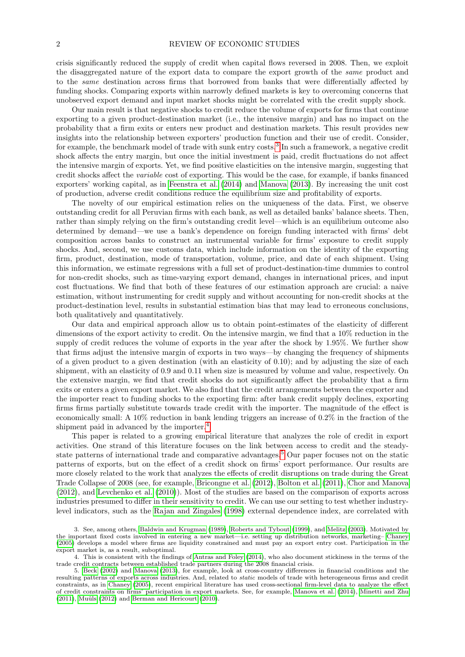crisis significantly reduced the supply of credit when capital flows reversed in 2008. Then, we exploit the disaggregated nature of the export data to compare the export growth of the same product and to the same destination across firms that borrowed from banks that were differentially affected by funding shocks. Comparing exports within narrowly defined markets is key to overcoming concerns that unobserved export demand and input market shocks might be correlated with the credit supply shock.

Our main result is that negative shocks to credit reduce the volume of exports for firms that continue exporting to a given product-destination market (i.e., the intensive margin) and has no impact on the probability that a firm exits or enters new product and destination markets. This result provides new insights into the relationship between exporters' production function and their use of credit. Consider, for example, the benchmark model of trade with sunk entry costs.<sup>[3](#page-0-0)</sup> In such a framework, a negative credit shock affects the entry margin, but once the initial investment is paid, credit fluctuations do not affect the intensive margin of exports. Yet, we find positive elasticities on the intensive margin, suggesting that credit shocks affect the variable cost of exporting. This would be the case, for example, if banks financed exporters' working capital, as in [Feenstra et al.](#page-15-8) [\(2014\)](#page-15-8) and [Manova](#page-16-5) [\(2013\)](#page-16-5). By increasing the unit cost of production, adverse credit conditions reduce the equilibrium size and profitability of exports.

The novelty of our empirical estimation relies on the uniqueness of the data. First, we observe outstanding credit for all Peruvian firms with each bank, as well as detailed banks' balance sheets. Then, rather than simply relying on the firm's outstanding credit level—which is an equilibrium outcome also determined by demand—we use a bank's dependence on foreign funding interacted with firms' debt composition across banks to construct an instrumental variable for firms' exposure to credit supply shocks. And, second, we use customs data, which include information on the identity of the exporting firm, product, destination, mode of transportation, volume, price, and date of each shipment. Using this information, we estimate regressions with a full set of product-destination-time dummies to control for non-credit shocks, such as time-varying export demand, changes in international prices, and input cost fluctuations. We find that both of these features of our estimation approach are crucial: a naive estimation, without instrumenting for credit supply and without accounting for non-credit shocks at the product-destination level, results in substantial estimation bias that may lead to erroneous conclusions, both qualitatively and quantitatively.

Our data and empirical approach allow us to obtain point-estimates of the elasticity of different dimensions of the export activity to credit. On the intensive margin, we find that a 10% reduction in the supply of credit reduces the volume of exports in the year after the shock by 1.95%. We further show that firms adjust the intensive margin of exports in two ways—by changing the frequency of shipments of a given product to a given destination (with an elasticity of  $(0.10)$ ); and by adjusting the size of each shipment, with an elasticity of 0.9 and 0.11 when size is measured by volume and value, respectively. On the extensive margin, we find that credit shocks do not significantly affect the probability that a firm exits or enters a given export market. We also find that the credit arrangements between the exporter and the importer react to funding shocks to the exporting firm: after bank credit supply declines, exporting firms firms partially substitute towards trade credit with the importer. The magnitude of the effect is economically small: A 10% reduction in bank lending triggers an increase of 0.2% in the fraction of the shipment paid in advanced by the importer.<sup>[4](#page-0-0)</sup>

This paper is related to a growing empirical literature that analyzes the role of credit in export activities. One strand of this literature focuses on the link between access to credit and the steady-state patterns of international trade and comparative advantages.<sup>[5](#page-0-0)</sup> Our paper focuses not on the static patterns of exports, but on the effect of a credit shock on firms' export performance. Our results are more closely related to the work that analyzes the effects of credit disruptions on trade during the Great Trade Collapse of 2008 (see, for example, [Bricongne et al.](#page-15-9) [\(2012\)](#page-15-9), [Bolton et al.](#page-15-10) [\(2011\)](#page-15-10), [Chor and Manova](#page-15-11) [\(2012\)](#page-15-11), and [Levchenko et al.](#page-16-6) [\(2010\)](#page-16-6)). Most of the studies are based on the comparison of exports across industries presumed to differ in their sensitivity to credit. We can use our setting to test whether industrylevel indicators, such as the [Rajan and Zingales](#page-16-7) [\(1998\)](#page-16-7) external dependence index, are correlated with

<sup>3.</sup> See, among others, [Baldwin and Krugman](#page-15-12) [\(1989\)](#page-15-12), [Roberts and Tybout](#page-16-8) [\(1999\)](#page-16-8), and [Melitz](#page-16-9) [\(2003\)](#page-16-9). Motivated by the important fixed costs involved in entering a new market—i.e. setting up distribution networks, marketing– [Chaney](#page-15-13) [\(2005\)](#page-15-13) develops a model where firms are liquidity constrained and must pay an export entry cost. Participation in the export market is, as a result, suboptimal.

<sup>4.</sup> This is consistent with the findings of [Antras and Foley](#page-14-0) [\(2014\)](#page-14-0), who also document stickiness in the terms of the trade credit contracts between established trade partners during the 2008 financial crisis.

<sup>5.</sup> [Beck](#page-15-14) [\(2002\)](#page-15-14) and [Manova](#page-16-5) [\(2013\)](#page-16-5), for example, look at cross-country differences in financial conditions and the resulting patterns of exports across industries. And, related to static models of trade with heterogeneous firms and credit constraints, as in [Chaney](#page-15-13) [\(2005\)](#page-15-13), recent empirical literature has used cross-sectional firm-level data to analyze the effect of credit constraints on firms' participation in export markets. See, for example, [Manova et al.](#page-16-10) [\(2014\)](#page-16-10), [Minetti and Zhu](#page-16-11)  $(2011)$ , Muûls  $(2012)$  and [Berman and Hericourt](#page-15-15)  $(2010)$ .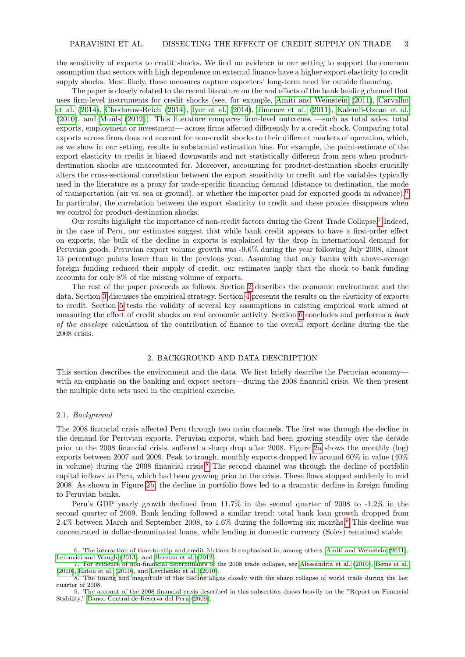the sensitivity of exports to credit shocks. We find no evidence in our setting to support the common assumption that sectors with high dependence on external finance have a higher export elasticity to credit supply shocks. Most likely, these measures capture exporters' long-term need for outside financing.

The paper is closely related to the recent literature on the real effects of the bank lending channel that uses firm-level instruments for credit shocks (see, for example, [Amiti and Weinstein](#page-14-1) [\(2011\)](#page-14-1), [Carvalho](#page-15-16) [et al.](#page-15-16) [\(2014\)](#page-15-16), [Chodorow-Reich](#page-15-5) [\(2014\)](#page-15-5), [Iyer et al.](#page-15-6) [\(2014\)](#page-15-6), [Jimenez et al.](#page-15-7) [\(2011\)](#page-15-7), [Kalemli-Ozcan et al.](#page-16-13)  $(2010)$ , and Muûls  $(2012)$ ). This literature compares firm-level outcomes —such as total sales, total exports, employment or investment— across firms affected differently by a credit shock. Comparing total exports across firms does not account for non-credit shocks to their different markets of operation, which, as we show in our setting, results in substantial estimation bias. For example, the point-estimate of the export elasticity to credit is biased downwards and not statistically different from zero when productdestination shocks are unaccounted for. Moreover, accounting for product-destination shocks crucially alters the cross-sectional correlation between the export sensitivity to credit and the variables typically used in the literature as a proxy for trade-specific financing demand (distance to destination, the mode of transportation (air vs. sea or ground), or whether the importer paid for exported goods in advance).<sup>[6](#page-0-0)</sup> In particular, the correlation between the export elasticity to credit and these proxies disappears when we control for product-destination shocks.

Our results highlight the importance of non-credit factors during the Great Trade Collapse.<sup>[7](#page-0-0)</sup> Indeed, in the case of Peru, our estimates suggest that while bank credit appears to have a first-order effect on exports, the bulk of the decline in exports is explained by the drop in international demand for Peruvian goods. Peruvian export volume growth was -9.6% during the year following July 2008, almost 13 percentage points lower than in the previous year. Assuming that only banks with above-average foreign funding reduced their supply of credit, our estimates imply that the shock to bank funding accounts for only 8% of the missing volume of exports.

The rest of the paper proceeds as follows. Section [2](#page-2-0) describes the economic environment and the data. Section [3](#page-4-0) discusses the empirical strategy. Section [4](#page-6-0) presents the results on the elasticity of exports to credit. Section [5](#page-12-0) tests the validity of several key assumptions in existing empirical work aimed at measuring the effect of credit shocks on real economic activity. Section [6](#page-14-2) concludes and performs a back of the envelope calculation of the contribution of finance to the overall export decline during the the 2008 crisis.

# 2. BACKGROUND AND DATA DESCRIPTION

<span id="page-2-0"></span>This section describes the environment and the data. We first briefly describe the Peruvian economy with an emphasis on the banking and export sectors—during the 2008 financial crisis. We then present the multiple data sets used in the empirical exercise.

## 2.1. Background

The 2008 financial crisis affected Peru through two main channels. The first was through the decline in the demand for Peruvian exports. Peruvian exports, which had been growing steadily over the decade prior to the 2008 financial crisis, suffered a sharp drop after 2008. Figure [2a](#page-17-0) shows the monthly (log) exports between 2007 and 2009. Peak to trough, monthly exports dropped by around 60% in value (40% in volume) during the 200[8](#page-0-0) financial crisis.<sup>8</sup> The second channel was through the decline of portfolio capital inflows to Peru, which had been growing prior to the crisis. These flows stopped suddenly in mid 2008. As shown in Figure [2b,](#page-17-1) the decline in portfolio flows led to a dramatic decline in foreign funding to Peruvian banks.

Peru's GDP yearly growth declined from 11.7% in the second quarter of 2008 to -1.2% in the second quarter of 2009. Bank lending followed a similar trend: total bank loan growth dropped from 2.4% between March and September 2008, to  $1.6\%$  during the following six months.<sup>[9](#page-0-0)</sup> This decline was concentrated in dollar-denominated loans, while lending in domestic currency (Soles) remained stable.

<sup>6.</sup> The interaction of time-to-ship and credit frictions is emphasized in, among others, [Amiti and Weinstein](#page-14-1) [\(2011\)](#page-14-1), [Leibovici and Waugh](#page-16-14) [\(2013\)](#page-16-14), and [Berman et al.](#page-15-17) [\(2012\)](#page-15-17).

<sup>7.</sup> For evidence of non-financial determinants of the 2008 trade collapse, see [Alessandria et al.](#page-14-3) [\(2010\)](#page-14-3), [Bems et al.](#page-15-18) [\(2010\)](#page-15-18), [Eaton et al.](#page-15-19) [\(2010\)](#page-15-19), and [Levchenko et al.](#page-16-6) [\(2010\)](#page-16-6).

<sup>8.</sup> The timing and magnitude of this decline aligns closely with the sharp collapse of world trade during the last quarter of 2008.

<sup>9.</sup> The account of the 2008 financial crisis described in this subsection draws heavily on the "Report on Financial Stability," [Banco Central de Reserva del Peru](#page-15-20) [\(2009\)](#page-15-20).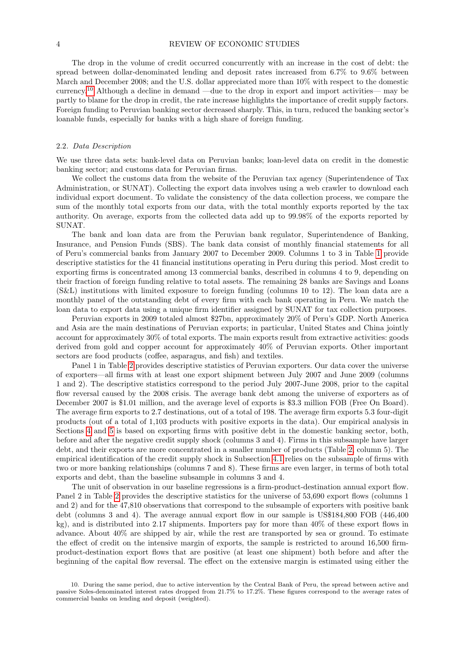The drop in the volume of credit occurred concurrently with an increase in the cost of debt: the spread between dollar-denominated lending and deposit rates increased from 6.7% to 9.6% between March and December 2008; and the U.S. dollar appreciated more than 10% with respect to the domestic currency.[10](#page-0-0) Although a decline in demand —due to the drop in export and import activities— may be partly to blame for the drop in credit, the rate increase highlights the importance of credit supply factors. Foreign funding to Peruvian banking sector decreased sharply. This, in turn, reduced the banking sector's loanable funds, especially for banks with a high share of foreign funding.

#### 2.2. Data Description

We use three data sets: bank-level data on Peruvian banks; loan-level data on credit in the domestic banking sector; and customs data for Peruvian firms.

We collect the customs data from the website of the Peruvian tax agency (Superintendence of Tax Administration, or SUNAT). Collecting the export data involves using a web crawler to download each individual export document. To validate the consistency of the data collection process, we compare the sum of the monthly total exports from our data, with the total monthly exports reported by the tax authority. On average, exports from the collected data add up to 99.98% of the exports reported by SUNAT.

The bank and loan data are from the Peruvian bank regulator, Superintendence of Banking, Insurance, and Pension Funds (SBS). The bank data consist of monthly financial statements for all of Peru's commercial banks from January 2007 to December 2009. Columns 1 to 3 in Table [1](#page-19-0) provide descriptive statistics for the 41 financial institutions operating in Peru during this period. Most credit to exporting firms is concentrated among 13 commercial banks, described in columns 4 to 9, depending on their fraction of foreign funding relative to total assets. The remaining 28 banks are Savings and Loans (S&L) institutions with limited exposure to foreign funding (columns 10 to 12). The loan data are a monthly panel of the outstanding debt of every firm with each bank operating in Peru. We match the loan data to export data using a unique firm identifier assigned by SUNAT for tax collection purposes.

Peruvian exports in 2009 totaled almost \$27bn, approximately 20% of Peru's GDP. North America and Asia are the main destinations of Peruvian exports; in particular, United States and China jointly account for approximately 30% of total exports. The main exports result from extractive activities: goods derived from gold and copper account for approximately 40% of Peruvian exports. Other important sectors are food products (coffee, asparagus, and fish) and textiles.

Panel 1 in Table [2](#page-20-0) provides descriptive statistics of Peruvian exporters. Our data cover the universe of exporters—all firms with at least one export shipment between July 2007 and June 2009 (columns 1 and 2). The descriptive statistics correspond to the period July 2007-June 2008, prior to the capital flow reversal caused by the 2008 crisis. The average bank debt among the universe of exporters as of December 2007 is \$1.01 million, and the average level of exports is \$3.3 million FOB (Free On Board). The average firm exports to 2.7 destinations, out of a total of 198. The average firm exports 5.3 four-digit products (out of a total of 1,103 products with positive exports in the data). Our empirical analysis in Sections [4](#page-6-0) and [5](#page-12-0) is based on exporting firms with positive debt in the domestic banking sector, both, before and after the negative credit supply shock (columns 3 and 4). Firms in this subsample have larger debt, and their exports are more concentrated in a smaller number of products (Table [2,](#page-20-0) column 5). The empirical identification of the credit supply shock in Subsection [4.1](#page-6-1) relies on the subsample of firms with two or more banking relationships (columns 7 and 8). These firms are even larger, in terms of both total exports and debt, than the baseline subsample in columns 3 and 4.

The unit of observation in our baseline regressions is a firm-product-destination annual export flow. Panel [2](#page-20-0) in Table 2 provides the descriptive statistics for the universe of 53,690 export flows (columns 1) and 2) and for the 47,810 observations that correspond to the subsample of exporters with positive bank debt (columns 3 and 4). The average annual export flow in our sample is US\$184,800 FOB (446,400 kg), and is distributed into 2.17 shipments. Importers pay for more than 40% of these export flows in advance. About 40% are shipped by air, while the rest are transported by sea or ground. To estimate the effect of credit on the intensive margin of exports, the sample is restricted to around 16,500 firmproduct-destination export flows that are positive (at least one shipment) both before and after the beginning of the capital flow reversal. The effect on the extensive margin is estimated using either the

<sup>10.</sup> During the same period, due to active intervention by the Central Bank of Peru, the spread between active and passive Soles-denominated interest rates dropped from 21.7% to 17.2%. These figures correspond to the average rates of commercial banks on lending and deposit (weighted).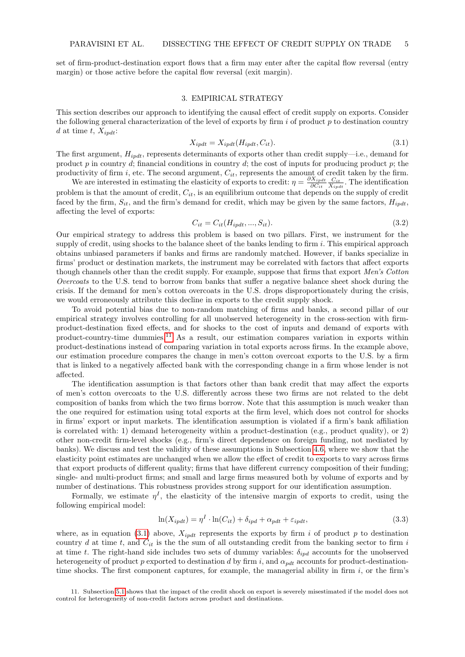set of firm-product-destination export flows that a firm may enter after the capital flow reversal (entry margin) or those active before the capital flow reversal (exit margin).

## 3. EMPIRICAL STRATEGY

<span id="page-4-0"></span>This section describes our approach to identifying the causal effect of credit supply on exports. Consider the following general characterization of the level of exports by firm  $i$  of product  $p$  to destination country d at time t,  $X_{ipdt}$ :

<span id="page-4-1"></span>
$$
X_{ipdt} = X_{ipdt}(H_{ipdt}, C_{it}).
$$
\n(3.1)

The first argument,  $H_{indt}$ , represents determinants of exports other than credit supply—i.e., demand for product  $p$  in country d; financial conditions in country d; the cost of inputs for producing product  $p$ ; the productivity of firm i, etc. The second argument,  $C_{it}$ , represents the amount of credit taken by the firm.

We are interested in estimating the elasticity of exports to credit:  $\eta = \frac{\partial X_{ind}}{\partial C}$  $\frac{\partial X_{ipdt}}{\partial C_{it}} \frac{C_{it}}{X_{ipdt}}$ . The identification problem is that the amount of credit,  $C_{it}$ , is an equilibrium outcome that depends on the supply of credit faced by the firm,  $S_{it}$ , and the firm's demand for credit, which may be given by the same factors,  $H_{ipdt}$ , affecting the level of exports:

$$
C_{it} = C_{it}(H_{ipdt}, ..., S_{it}).
$$
\n(3.2)

Our empirical strategy to address this problem is based on two pillars. First, we instrument for the supply of credit, using shocks to the balance sheet of the banks lending to firm i. This empirical approach obtains unbiased parameters if banks and firms are randomly matched. However, if banks specialize in firms' product or destination markets, the instrument may be correlated with factors that affect exports though channels other than the credit supply. For example, suppose that firms that export Men's Cotton Overcoats to the U.S. tend to borrow from banks that suffer a negative balance sheet shock during the crisis. If the demand for men's cotton overcoats in the U.S. drops disproportionately during the crisis, we would erroneously attribute this decline in exports to the credit supply shock.

To avoid potential bias due to non-random matching of firms and banks, a second pillar of our empirical strategy involves controlling for all unobserved heterogeneity in the cross-section with firmproduct-destination fixed effects, and for shocks to the cost of inputs and demand of exports with product-country-time dummies.<sup>[11](#page-0-0)</sup> As a result, our estimation compares variation in exports within product-destinations instead of comparing variation in total exports across firms. In the example above, our estimation procedure compares the change in men's cotton overcoat exports to the U.S. by a firm that is linked to a negatively affected bank with the corresponding change in a firm whose lender is not affected.

The identification assumption is that factors other than bank credit that may affect the exports of men's cotton overcoats to the U.S. differently across these two firms are not related to the debt composition of banks from which the two firms borrow. Note that this assumption is much weaker than the one required for estimation using total exports at the firm level, which does not control for shocks in firms' export or input markets. The identification assumption is violated if a firm's bank affiliation is correlated with: 1) demand heterogeneity within a product-destination (e.g., product quality), or 2) other non-credit firm-level shocks (e.g., firm's direct dependence on foreign funding, not mediated by banks). We discuss and test the validity of these assumptions in Subsection [4.6,](#page-10-0) where we show that the elasticity point estimates are unchanged when we allow the effect of credit to exports to vary across firms that export products of different quality; firms that have different currency composition of their funding; single- and multi-product firms; and small and large firms measured both by volume of exports and by number of destinations. This robustness provides strong support for our identification assumption.

Formally, we estimate  $\eta^I$ , the elasticity of the intensive margin of exports to credit, using the following empirical model:

<span id="page-4-2"></span>
$$
\ln(X_{ipdt}) = \eta^I \cdot \ln(C_{it}) + \delta_{ipd} + \alpha_{pdt} + \varepsilon_{ipdt},\tag{3.3}
$$

where, as in equation [\(3.1\)](#page-4-1) above,  $X_{indt}$  represents the exports by firm i of product p to destination country d at time t, and  $C_{it}$  is the the sum of all outstanding credit from the banking sector to firm i at time t. The right-hand side includes two sets of dummy variables:  $\delta_{ipd}$  accounts for the unobserved heterogeneity of product p exported to destination d by firm i, and  $\alpha_{pdt}$  accounts for product-destinationtime shocks. The first component captures, for example, the managerial ability in firm  $i$ , or the firm's

11. Subsection [5.1](#page-12-1) shows that the impact of the credit shock on export is severely misestimated if the model does not control for heterogeneity of non-credit factors across product and destinations.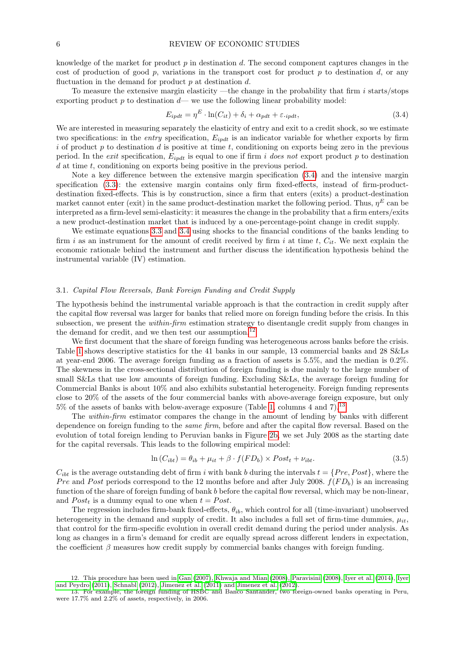knowledge of the market for product  $p$  in destination  $d$ . The second component captures changes in the cost of production of good  $p$ , variations in the transport cost for product  $p$  to destination  $d$ , or any fluctuation in the demand for product  $p$  at destination  $d$ .

To measure the extensive margin elasticity —the change in the probability that firm  $i$  starts/stops exporting product p to destination  $d$ — we use the following linear probability model:

<span id="page-5-0"></span>
$$
E_{ipdt} = \eta^E \cdot \ln(C_{it}) + \delta_i + \alpha_{pdt} + \varepsilon_{\cdot ipdt},\tag{3.4}
$$

We are interested in measuring separately the elasticity of entry and exit to a credit shock, so we estimate two specifications: in the *entry* specification,  $E_{ipdt}$  is an indicator variable for whether exports by firm  $i$  of product  $p$  to destination  $d$  is positive at time  $t$ , conditioning on exports being zero in the previous period. In the exit specification,  $E_{ipdt}$  is equal to one if firm i does not export product p to destination d at time t, conditioning on exports being positive in the previous period.

Note a key difference between the extensive margin specification [\(3.4\)](#page-5-0) and the intensive margin specification [\(3.3\)](#page-4-2): the extensive margin contains only firm fixed-effects, instead of firm-productdestination fixed-effects. This is by construction, since a firm that enters (exits) a product-destination market cannot enter (exit) in the same product-destination market the following period. Thus,  $\eta^E$  can be interpreted as a firm-level semi-elasticity: it measures the change in the probability that a firm enters/exits a new product-destination market that is induced by a one-percentage-point change in credit supply.

We estimate equations [3.3](#page-4-2) and [3.4](#page-5-0) using shocks to the financial conditions of the banks lending to firm i as an instrument for the amount of credit received by firm i at time  $t$ ,  $C_{it}$ . We next explain the economic rationale behind the instrument and further discuss the identification hypothesis behind the instrumental variable (IV) estimation.

## 3.1. Capital Flow Reversals, Bank Foreign Funding and Credit Supply

The hypothesis behind the instrumental variable approach is that the contraction in credit supply after the capital flow reversal was larger for banks that relied more on foreign funding before the crisis. In this subsection, we present the *within-firm* estimation strategy to disentangle credit supply from changes in the demand for credit, and we then test our assumption.<sup>[12](#page-0-0)</sup>

We first document that the share of foreign funding was heterogeneous across banks before the crisis. Table [1](#page-19-0) shows descriptive statistics for the 41 banks in our sample, 13 commercial banks and 28 S&Ls at year-end 2006. The average foreign funding as a fraction of assets is 5.5%, and the median is 0.2%. The skewness in the cross-sectional distribution of foreign funding is due mainly to the large number of small S&Ls that use low amounts of foreign funding. Excluding S&Ls, the average foreign funding for Commercial Banks is about 10% and also exhibits substantial heterogeneity. Foreign funding represents close to 20% of the assets of the four commercial banks with above-average foreign exposure, but only 5% of the assets of banks with below-average exposure (Table [1,](#page-19-0) columns 4 and 7).[13](#page-0-0)

The within-firm estimator compares the change in the amount of lending by banks with different dependence on foreign funding to the *same firm*, before and after the capital flow reversal. Based on the evolution of total foreign lending to Peruvian banks in Figure [2b,](#page-17-1) we set July 2008 as the starting date for the capital reversals. This leads to the following empirical model:

<span id="page-5-1"></span>
$$
\ln(C_{ibt}) = \theta_{ib} + \mu_{it} + \beta \cdot f(FD_b) \times Post_t + \nu_{ibt}.
$$
\n(3.5)

 $C_{ibt}$  is the average outstanding debt of firm i with bank b during the intervals  $t = \{Pre, Post\}$ , where the Pre and Post periods correspond to the 12 months before and after July 2008.  $f(FD_b)$  is an increasing function of the share of foreign funding of bank b before the capital flow reversal, which may be non-linear, and  $Post<sub>t</sub>$  is a dummy equal to one when  $t = Post$ .

The regression includes firm-bank fixed-effects,  $\theta_{ih}$ , which control for all (time-invariant) unobserved heterogeneity in the demand and supply of credit. It also includes a full set of firm-time dummies,  $\mu_{it}$ , that control for the firm-specific evolution in overall credit demand during the period under analysis. As long as changes in a firm's demand for credit are equally spread across different lenders in expectation, the coefficient  $\beta$  measures how credit supply by commercial banks changes with foreign funding.

<sup>12.</sup> This procedure has been used in [Gan](#page-15-21) [\(2007\)](#page-15-21), [Khwaja and Mian](#page-16-15) [\(2008\)](#page-16-15), [Paravisini](#page-16-16) [\(2008\)](#page-16-16), [Iyer et al.](#page-15-6) [\(2014\)](#page-15-6), [Iyer](#page-15-22) [and Peydro](#page-15-22) [\(2011\)](#page-15-22), [Schnabl](#page-16-0) [\(2012\)](#page-16-0), [Jimenez et al.](#page-15-7) [\(2011\)](#page-15-7) and [Jimenez et al.](#page-15-23) [\(2012\)](#page-15-23).

<sup>13.</sup> For example, the foreign funding of HSBC and Banco Santander, two foreign-owned banks operating in Peru, were 17.7% and 2.2% of assets, respectively, in 2006.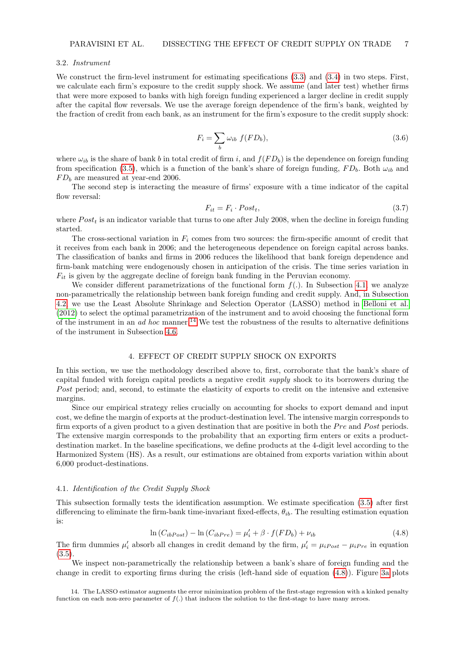### 3.2. Instrument

We construct the firm-level instrument for estimating specifications [\(3.3\)](#page-4-2) and [\(3.4\)](#page-5-0) in two steps. First, we calculate each firm's exposure to the credit supply shock. We assume (and later test) whether firms that were more exposed to banks with high foreign funding experienced a larger decline in credit supply after the capital flow reversals. We use the average foreign dependence of the firm's bank, weighted by the fraction of credit from each bank, as an instrument for the firm's exposure to the credit supply shock:

$$
F_i = \sum_b \omega_{ib} f(FD_b), \tag{3.6}
$$

where  $\omega_{ib}$  is the share of bank b in total credit of firm i, and  $f(FD_b)$  is the dependence on foreign funding from specification [\(3.5\)](#page-5-1), which is a function of the bank's share of foreign funding,  $FD_b$ . Both  $\omega_{ib}$  and  $FD<sub>b</sub>$  are measured at year-end 2006.

The second step is interacting the measure of firms' exposure with a time indicator of the capital flow reversal:

<span id="page-6-3"></span>
$$
F_{it} = F_i \cdot Post_t,\tag{3.7}
$$

where  $Post<sub>t</sub>$  is an indicator variable that turns to one after July 2008, when the decline in foreign funding started.

The cross-sectional variation in  $F_i$  comes from two sources: the firm-specific amount of credit that it receives from each bank in 2006; and the heterogeneous dependence on foreign capital across banks. The classification of banks and firms in 2006 reduces the likelihood that bank foreign dependence and firm-bank matching were endogenously chosen in anticipation of the crisis. The time series variation in  $F_{it}$  is given by the aggregate decline of foreign bank funding in the Peruvian economy.

We consider different parametrizations of the functional form  $f(.)$ . In Subsection [4.1,](#page-6-1) we analyze non-parametrically the relationship between bank foreign funding and credit supply. And, in Subsection [4.2,](#page-7-0) we use the Least Absolute Shrinkage and Selection Operator (LASSO) method in [Belloni et al.](#page-15-24) [\(2012\)](#page-15-24) to select the optimal parametrization of the instrument and to avoid choosing the functional form of the instrument in an *ad hoc* manner.<sup>[14](#page-0-0)</sup> We test the robustness of the results to alternative definitions of the instrument in Subsection [4.6.](#page-10-0)

### 4. EFFECT OF CREDIT SUPPLY SHOCK ON EXPORTS

<span id="page-6-0"></span>In this section, we use the methodology described above to, first, corroborate that the bank's share of capital funded with foreign capital predicts a negative credit supply shock to its borrowers during the Post period; and, second, to estimate the elasticity of exports to credit on the intensive and extensive margins.

Since our empirical strategy relies crucially on accounting for shocks to export demand and input cost, we define the margin of exports at the product-destination level. The intensive margin corresponds to firm exports of a given product to a given destination that are positive in both the Pre and Post periods. The extensive margin corresponds to the probability that an exporting firm enters or exits a productdestination market. In the baseline specifications, we define products at the 4-digit level according to the Harmonized System (HS). As a result, our estimations are obtained from exports variation within about 6,000 product-destinations.

#### <span id="page-6-1"></span>4.1. Identification of the Credit Supply Shock

This subsection formally tests the identification assumption. We estimate specification [\(3.5\)](#page-5-1) after first differencing to eliminate the firm-bank time-invariant fixed-effects,  $\theta_{ih}$ . The resulting estimation equation is:

<span id="page-6-2"></span>
$$
\ln\left(C_{ibPost}\right) - \ln\left(C_{ibPre}\right) = \mu_i' + \beta \cdot f(FD_b) + \nu_{ib} \tag{4.8}
$$

The firm dummies  $\mu'_i$  absorb all changes in credit demand by the firm,  $\mu'_i = \mu_i p_{ost} - \mu_i p_{re}$  in equation [\(3.5\)](#page-5-1).

We inspect non-parametrically the relationship between a bank's share of foreign funding and the change in credit to exporting firms during the crisis (left-hand side of equation [\(4.8\)](#page-6-2)). Figure [3a](#page-17-2) plots

14. The LASSO estimator augments the error minimization problem of the first-stage regression with a kinked penalty function on each non-zero parameter of  $f(.)$  that induces the solution to the first-stage to have many zeroes.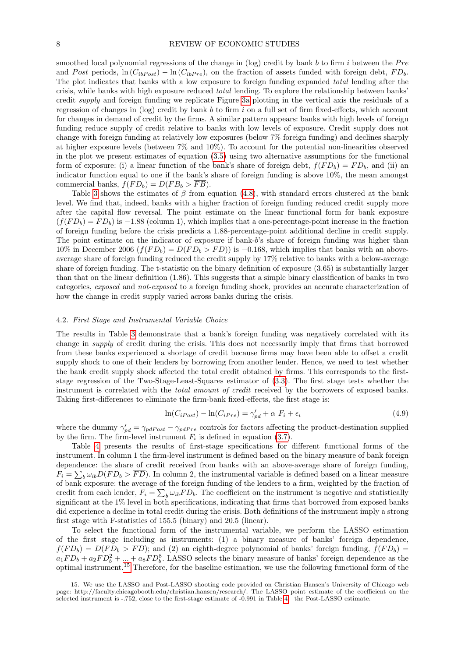smoothed local polynomial regressions of the change in  $(log)$  credit by bank b to firm i between the Pre and Post periods,  $\ln(C_{ibPost}) - \ln(C_{ibPre})$ , on the fraction of assets funded with foreign debt,  $FD_b$ . The plot indicates that banks with a low exposure to foreign funding expanded total lending after the crisis, while banks with high exposure reduced total lending. To explore the relationship between banks' credit supply and foreign funding we replicate Figure [3a](#page-17-2) plotting in the vertical axis the residuals of a regression of changes in  $(log)$  credit by bank b to firm i on a full set of firm fixed-effects, which account for changes in demand of credit by the firms. A similar pattern appears: banks with high levels of foreign funding reduce supply of credit relative to banks with low levels of exposure. Credit supply does not change with foreign funding at relatively low exposures (below 7% foreign funding) and declines sharply at higher exposure levels (between 7% and 10%). To account for the potential non-linearities observed in the plot we present estimates of equation [\(3.5\)](#page-5-1) using two alternative assumptions for the functional form of exposure: (i) a linear function of the bank's share of foreign debt,  $f(FD_b) = FD_b$ , and (ii) an indicator function equal to one if the bank's share of foreign funding is above 10%, the mean amongst commercial banks,  $f(FD_b) = D(FB_b > \overline{FB}).$ 

Table [3](#page-21-0) shows the estimates of  $\beta$  from equation [\(4.8\)](#page-6-2), with standard errors clustered at the bank level. We find that, indeed, banks with a higher fraction of foreign funding reduced credit supply more after the capital flow reversal. The point estimate on the linear functional form for bank exposure  $(f(FD_b) = FD_b)$  is -1.88 (column 1), which implies that a one-percentage-point increase in the fraction of foreign funding before the crisis predicts a 1.88-percentage-point additional decline in credit supply. The point estimate on the indicator of exposure if bank-b's share of foreign funding was higher than 10% in December 2006  $(f(FD_b) = D(FD_b > \overline{FD}))$  is -0.168, which implies that banks with an aboveaverage share of foreign funding reduced the credit supply by 17% relative to banks with a below-average share of foreign funding. The t-statistic on the binary definition of exposure (3.65) is substantially larger than that on the linear definition (1.86). This suggests that a simple binary classification of banks in two categories, exposed and not-exposed to a foreign funding shock, provides an accurate characterization of how the change in credit supply varied across banks during the crisis.

## <span id="page-7-0"></span>4.2. First Stage and Instrumental Variable Choice

The results in Table [3](#page-21-0) demonstrate that a bank's foreign funding was negatively correlated with its change in supply of credit during the crisis. This does not necessarily imply that firms that borrowed from these banks experienced a shortage of credit because firms may have been able to offset a credit supply shock to one of their lenders by borrowing from another lender. Hence, we need to test whether the bank credit supply shock affected the total credit obtained by firms. This corresponds to the firststage regression of the Two-Stage-Least-Squares estimator of [\(3.3\)](#page-4-2). The first stage tests whether the instrument is correlated with the total amount of credit received by the borrowers of exposed banks. Taking first-differences to eliminate the firm-bank fixed-effects, the first stage is:

<span id="page-7-1"></span>
$$
\ln(C_{iPost}) - \ln(C_{iPre}) = \gamma'_{pd} + \alpha F_i + \epsilon_i
$$
\n(4.9)

where the dummy  $\gamma'_{pd} = \gamma_{pdPost} - \gamma_{pdPre}$  controls for factors affecting the product-destination supplied by the firm. The firm-level instrument  $F_i$  is defined in equation [\(3.7\)](#page-6-3).

Table [4](#page-21-1) presents the results of first-stage specifications for different functional forms of the instrument. In column 1 the firm-level instrument is defined based on the binary measure of bank foreign dependence: the share of credit received from banks with an above-average share of foreign funding,  $F_i = \sum_b \omega_{ib} D(FD_b > FD)$ . In column 2, the instrumental variable is defined based on a linear measure of bank exposure: the average of the foreign funding of the lenders to a firm, weighted by the fraction of credit from each lender,  $F_i = \sum_b \omega_{ib} F D_b$ . The coefficient on the instrument is negative and statistically significant at the 1% level in both specifications, indicating that firms that borrowed from exposed banks did experience a decline in total credit during the crisis. Both definitions of the instrument imply a strong first stage with F-statistics of 155.5 (binary) and 20.5 (linear).

To select the functional form of the instrumental variable, we perform the LASSO estimation of the first stage including as instruments: (1) a binary measure of banks' foreign dependence,  $f(F D_b) = D(F D_b > \overline{FD})$ ; and (2) an eighth-degree polynomial of banks' foreign funding,  $f(F D_b) =$  $a_1FD_b + a_2FD_b^2 + ... + a_8FD_b^8$ . LASSO selects the binary measure of banks' foreign dependence as the optimal instrument.[15](#page-0-0) Therefore, for the baseline estimation, we use the following functional form of the

<sup>15.</sup> We use the LASSO and Post-LASSO shooting code provided on Christian Hansen's University of Chicago web page: http://faculty.chicagobooth.edu/christian.hansen/research/. The LASSO point estimate of the coefficient on the selected instrument is -.752, close to the first-stage estimate of -0.991 in Table [4—](#page-21-1)the Post-LASSO estimate.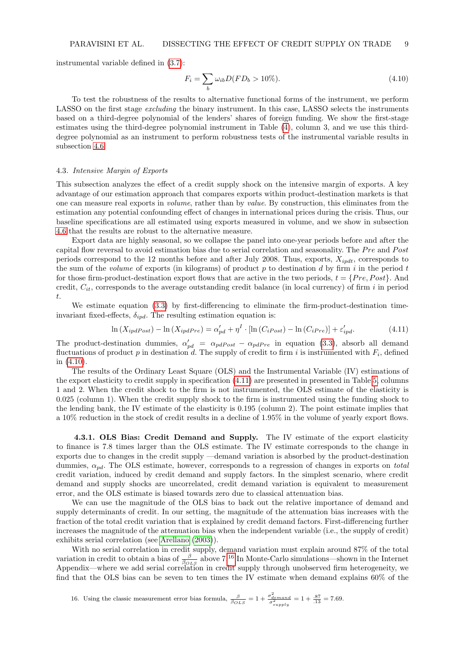instrumental variable defined in [\(3.7\)](#page-6-3):

<span id="page-8-0"></span>
$$
F_i = \sum_b \omega_{ib} D(FD_b > 10\%).
$$
\n(4.10)

To test the robustness of the results to alternative functional forms of the instrument, we perform LASSO on the first stage excluding the binary instrument. In this case, LASSO selects the instruments based on a third-degree polynomial of the lenders' shares of foreign funding. We show the first-stage estimates using the third-degree polynomial instrument in Table [\(4\)](#page-21-1), column 3, and we use this thirddegree polynomial as an instrument to perform robustness tests of the instrumental variable results in subsection [4.6.](#page-10-0)

#### 4.3. Intensive Margin of Exports

This subsection analyzes the effect of a credit supply shock on the intensive margin of exports. A key advantage of our estimation approach that compares exports within product-destination markets is that one can measure real exports in volume, rather than by value. By construction, this eliminates from the estimation any potential confounding effect of changes in international prices during the crisis. Thus, our baseline specifications are all estimated using exports measured in volume, and we show in subsection [4.6](#page-10-0) that the results are robust to the alternative measure.

Export data are highly seasonal, so we collapse the panel into one-year periods before and after the capital flow reversal to avoid estimation bias due to serial correlation and seasonality. The Pre and Post periods correspond to the 12 months before and after July 2008. Thus, exports,  $X_{ind}$ , corresponds to the sum of the *volume* of exports (in kilograms) of product  $p$  to destination  $d$  by firm  $i$  in the period  $t$ for those firm-product-destination export flows that are active in the two periods,  $t = \{Pre, Post\}$ . And credit,  $C_{it}$ , corresponds to the average outstanding credit balance (in local currency) of firm i in period t.

We estimate equation [\(3.3\)](#page-4-2) by first-differencing to eliminate the firm-product-destination timeinvariant fixed-effects,  $\delta_{ind}$ . The resulting estimation equation is:

<span id="page-8-1"></span>
$$
\ln\left(X_{ipdPost}\right) - \ln\left(X_{ipdPre}\right) = \alpha'_{pd} + \eta^I \cdot \left[\ln\left(C_{iPost}\right) - \ln\left(C_{iPre}\right)\right] + \varepsilon'_{ipd}.\tag{4.11}
$$

The product-destination dummies,  $\alpha'_{pd} = \alpha_{pdPost} - \alpha_{pdPre}$  in equation [\(3.3\)](#page-4-2), absorb all demand fluctuations of product p in destination d. The supply of credit to firm i is instrumented with  $F_i$ , defined in [\(4.10\)](#page-8-0).

The results of the Ordinary Least Square (OLS) and the Instrumental Variable (IV) estimations of the export elasticity to credit supply in specification [\(4.11\)](#page-8-1) are presented in presented in Table [5,](#page-22-0) columns 1 and 2. When the credit shock to the firm is not instrumented, the OLS estimate of the elasticity is 0.025 (column 1). When the credit supply shock to the firm is instrumented using the funding shock to the lending bank, the IV estimate of the elasticity is 0.195 (column 2). The point estimate implies that a 10% reduction in the stock of credit results in a decline of 1.95% in the volume of yearly export flows.

4.3.1. OLS Bias: Credit Demand and Supply. The IV estimate of the export elasticity to finance is 7.8 times larger than the OLS estimate. The IV estimate corresponds to the change in exports due to changes in the credit supply —demand variation is absorbed by the product-destination dummies,  $\alpha_{nd}$ . The OLS estimate, however, corresponds to a regression of changes in exports on total credit variation, induced by credit demand and supply factors. In the simplest scenario, where credit demand and supply shocks are uncorrelated, credit demand variation is equivalent to measurement error, and the OLS estimate is biased towards zero due to classical attenuation bias.

We can use the magnitude of the OLS bias to back out the relative importance of demand and supply determinants of credit. In our setting, the magnitude of the attenuation bias increases with the fraction of the total credit variation that is explained by credit demand factors. First-differencing further increases the magnitude of the attenuation bias when the independent variable (i.e., the supply of credit) exhibits serial correlation (see [Arellano](#page-15-25) [\(2003\)](#page-15-25)).

With no serial correlation in credit supply, demand variation must explain around 87% of the total variation in credit to obtain a bias of  $\frac{\beta}{\beta_{OLS}}$  above 7.<sup>[16](#page-0-0)</sup> In Monte-Carlo simulations—shown in the Internet Appendix—where we add serial correlation in credit supply through unobserved firm heterogeneity, we find that the OLS bias can be seven to ten times the IV estimate when demand explains 60% of the

16. Using the classic measurement error bias formula,  $\frac{\beta}{\beta_{OLS}} = 1 + \frac{\sigma_{demand}^2}{\sigma_{supply}^2} = 1 + \frac{.87}{.13} = 7.69$ .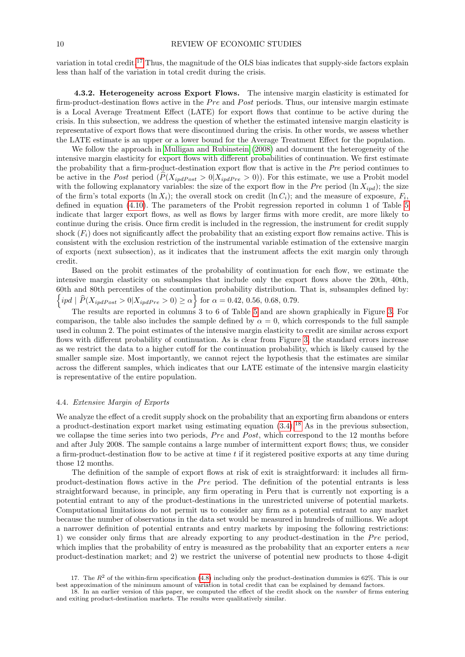variation in total credit.[17](#page-0-0) Thus, the magnitude of the OLS bias indicates that supply-side factors explain less than half of the variation in total credit during the crisis.

4.3.2. Heterogeneity across Export Flows. The intensive margin elasticity is estimated for firm-product-destination flows active in the  $Pre$  and  $Post$  periods. Thus, our intensive margin estimate is a Local Average Treatment Effect (LATE) for export flows that continue to be active during the crisis. In this subsection, we address the question of whether the estimated intensive margin elasticity is representative of export flows that were discontinued during the crisis. In other words, we assess whether the LATE estimate is an upper or a lower bound for the Average Treatment Effect for the population.

We follow the approach in [Mulligan and Rubinstein](#page-16-17) [\(2008\)](#page-16-17) and document the heterogeneity of the intensive margin elasticity for export flows with different probabilities of continuation. We first estimate the probability that a firm-product-destination export flow that is active in the Pre period continues to be active in the Post period  $(\hat{P}(X_{ipdPost} > 0|X_{ipdPre} > 0))$ . For this estimate, we use a Probit model with the following explanatory variables: the size of the export flow in the Pre period (ln  $X_{ipd}$ ); the size of the firm's total exports  $(\ln X_i)$ ; the overall stock on credit  $(\ln C_i)$ ; and the measure of exposure,  $F_i$ , defined in equation [\(4.10\)](#page-8-0). The parameters of the Probit regression reported in column 1 of Table [5](#page-22-0) indicate that larger export flows, as well as flows by larger firms with more credit, are more likely to continue during the crisis. Once firm credit is included in the regression, the instrument for credit supply shock  $(F_i)$  does not significantly affect the probability that an existing export flow remains active. This is consistent with the exclusion restriction of the instrumental variable estimation of the extensive margin of exports (next subsection), as it indicates that the instrument affects the exit margin only through credit.

Based on the probit estimates of the probability of continuation for each flow, we estimate the intensive margin elasticity on subsamples that include only the export flows above the 20th, 40th, 60th and 80th percentiles of the continuation probability distribution. That is, subsamples defined by:  $\left\{ipd \mid \widehat{P}(X_{ipdPost} > 0 | X_{ipdPre} > 0) \ge \alpha\right\}$  for  $\alpha = 0.42, 0.56, 0.68, 0.79$ .

The results are reported in columns 3 to 6 of Table [5](#page-22-0) and are shown graphically in Figure [3.](#page-18-0) For comparison, the table also includes the sample defined by  $\alpha = 0$ , which corresponds to the full sample used in column 2. The point estimates of the intensive margin elasticity to credit are similar across export flows with different probability of continuation. As is clear from Figure [3,](#page-18-0) the standard errors increase as we restrict the data to a higher cutoff for the continuation probability, which is likely caused by the smaller sample size. Most importantly, we cannot reject the hypothesis that the estimates are similar across the different samples, which indicates that our LATE estimate of the intensive margin elasticity is representative of the entire population.

#### 4.4. Extensive Margin of Exports

We analyze the effect of a credit supply shock on the probability that an exporting firm abandons or enters a product-destination export market using estimating equation  $(3.4)$ .<sup>[18](#page-0-0)</sup> As in the previous subsection, we collapse the time series into two periods,  $Pre$  and  $Post$ , which correspond to the 12 months before and after July 2008. The sample contains a large number of intermittent export flows; thus, we consider a firm-product-destination flow to be active at time  $t$  if it registered positive exports at any time during those 12 months.

The definition of the sample of export flows at risk of exit is straightforward: it includes all firmproduct-destination flows active in the Pre period. The definition of the potential entrants is less straightforward because, in principle, any firm operating in Peru that is currently not exporting is a potential entrant to any of the product-destinations in the unrestricted universe of potential markets. Computational limitations do not permit us to consider any firm as a potential entrant to any market because the number of observations in the data set would be measured in hundreds of millions. We adopt a narrower definition of potential entrants and entry markets by imposing the following restrictions: 1) we consider only firms that are already exporting to any product-destination in the  $Pre$  period, which implies that the probability of entry is measured as the probability that an exporter enters a new product-destination market; and 2) we restrict the universe of potential new products to those 4-digit

<sup>17.</sup> The  $R^2$  of the within-firm specification [\(4.8\)](#page-6-2) including only the product-destination dummies is 62%. This is our best approximation of the minimum amount of variation in total credit that can be explained by demand factors.

<sup>18.</sup> In an earlier version of this paper, we computed the effect of the credit shock on the number of firms entering and exiting product-destination markets. The results were qualitatively similar.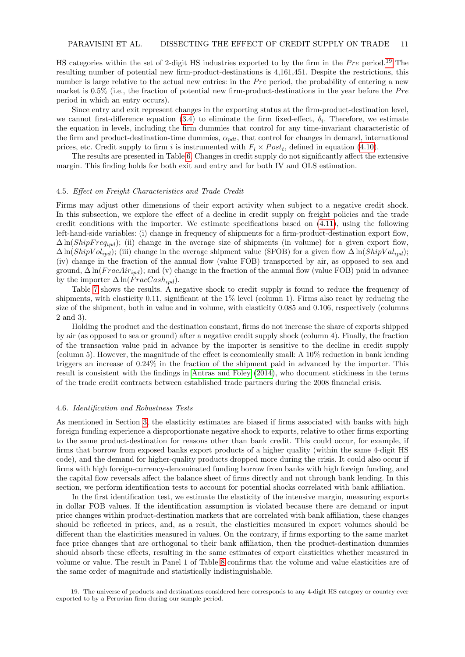HS categories within the set of 2-digit HS industries exported to by the firm in the  $Pre$  period.<sup>[19](#page-0-0)</sup> The resulting number of potential new firm-product-destinations is 4,161,451. Despite the restrictions, this number is large relative to the actual new entries: in the Pre period, the probability of entering a new market is  $0.5\%$  (i.e., the fraction of potential new firm-product-destinations in the year before the Pre period in which an entry occurs).

Since entry and exit represent changes in the exporting status at the firm-product-destination level, we cannot first-difference equation [\(3.4\)](#page-5-0) to eliminate the firm fixed-effect,  $\delta_i$ . Therefore, we estimate the equation in levels, including the firm dummies that control for any time-invariant characteristic of the firm and product-destination-time dummies,  $\alpha_{pdt}$ , that control for changes in demand, international prices, etc. Credit supply to firm i is instrumented with  $F_i \times Post_t$ , defined in equation [\(4.10\)](#page-8-0).

The results are presented in Table [6.](#page-23-0) Changes in credit supply do not significantly affect the extensive margin. This finding holds for both exit and entry and for both IV and OLS estimation.

#### 4.5. Effect on Freight Characteristics and Trade Credit

Firms may adjust other dimensions of their export activity when subject to a negative credit shock. In this subsection, we explore the effect of a decline in credit supply on freight policies and the trade credit conditions with the importer. We estimate specifications based on [\(4.11\)](#page-8-1), using the following left-hand-side variables: (i) change in frequency of shipments for a firm-product-destination export flow,  $\Delta \ln(ShipFreq_{ind});$  (ii) change in the average size of shipments (in volume) for a given export flow,  $\Delta \ln(ShipVol_{ind});$  (iii) change in the average shipment value (\$FOB) for a given flow  $\Delta \ln(ShipVal_{ind});$ (iv) change in the fraction of the annual flow (value FOB) transported by air, as opposed to sea and ground,  $\Delta \ln (FracAir_{ind})$ ; and (v) change in the fraction of the annual flow (value FOB) paid in advance by the importer  $\Delta \ln(FracCash_{ind})$ .

Table [7](#page-24-0) shows the results. A negative shock to credit supply is found to reduce the frequency of shipments, with elasticity 0.11, significant at the 1% level (column 1). Firms also react by reducing the size of the shipment, both in value and in volume, with elasticity 0.085 and 0.106, respectively (columns 2 and 3).

Holding the product and the destination constant, firms do not increase the share of exports shipped by air (as opposed to sea or ground) after a negative credit supply shock (column 4). Finally, the fraction of the transaction value paid in advance by the importer is sensitive to the decline in credit supply (column 5). However, the magnitude of the effect is economically small: A 10% reduction in bank lending triggers an increase of 0.24% in the fraction of the shipment paid in advanced by the importer. This result is consistent with the findings in [Antras and Foley](#page-14-0) [\(2014\)](#page-14-0), who document stickiness in the terms of the trade credit contracts between established trade partners during the 2008 financial crisis.

#### <span id="page-10-0"></span>4.6. Identification and Robustness Tests

As mentioned in Section [3,](#page-4-0) the elasticity estimates are biased if firms associated with banks with high foreign funding experience a disproportionate negative shock to exports, relative to other firms exporting to the same product-destination for reasons other than bank credit. This could occur, for example, if firms that borrow from exposed banks export products of a higher quality (within the same 4-digit HS code), and the demand for higher-quality products dropped more during the crisis. It could also occur if firms with high foreign-currency-denominated funding borrow from banks with high foreign funding, and the capital flow reversals affect the balance sheet of firms directly and not through bank lending. In this section, we perform identification tests to account for potential shocks correlated with bank affiliation.

In the first identification test, we estimate the elasticity of the intensive margin, measuring exports in dollar FOB values. If the identification assumption is violated because there are demand or input price changes within product-destination markets that are correlated with bank affiliation, these changes should be reflected in prices, and, as a result, the elasticities measured in export volumes should be different than the elasticities measured in values. On the contrary, if firms exporting to the same market face price changes that are orthogonal to their bank affiliation, then the product-destination dummies should absorb these effects, resulting in the same estimates of export elasticities whether measured in volume or value. The result in Panel 1 of Table [8](#page-26-0) confirms that the volume and value elasticities are of the same order of magnitude and statistically indistinguishable.

19. The universe of products and destinations considered here corresponds to any 4-digit HS category or country ever exported to by a Peruvian firm during our sample period.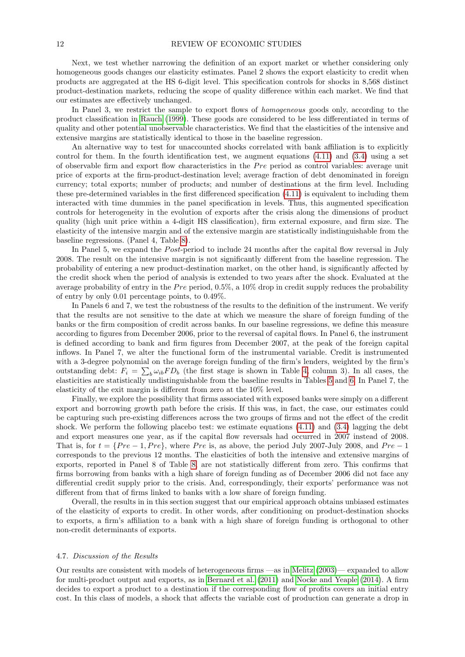Next, we test whether narrowing the definition of an export market or whether considering only homogeneous goods changes our elasticity estimates. Panel 2 shows the export elasticity to credit when products are aggregated at the HS 6-digit level. This specification controls for shocks in 8,568 distinct product-destination markets, reducing the scope of quality difference within each market. We find that our estimates are effectively unchanged.

In Panel 3, we restrict the sample to export flows of *homogeneous* goods only, according to the product classification in [Rauch](#page-16-18) [\(1999\)](#page-16-18). These goods are considered to be less differentiated in terms of quality and other potential unobservable characteristics. We find that the elasticities of the intensive and extensive margins are statistically identical to those in the baseline regression.

An alternative way to test for unaccounted shocks correlated with bank affiliation is to explicitly control for them. In the fourth identification test, we augment equations [\(4.11\)](#page-8-1) and [\(3.4\)](#page-5-0) using a set of observable firm and export flow characteristics in the Pre period as control variables: average unit price of exports at the firm-product-destination level; average fraction of debt denominated in foreign currency; total exports; number of products; and number of destinations at the firm level. Including these pre-determined variables in the first differenced specification [\(4.11\)](#page-8-1) is equivalent to including them interacted with time dummies in the panel specification in levels. Thus, this augmented specification controls for heterogeneity in the evolution of exports after the crisis along the dimensions of product quality (high unit price within a 4-digit HS classification), firm external exposure, and firm size. The elasticity of the intensive margin and of the extensive margin are statistically indistinguishable from the baseline regressions. (Panel 4, Table [8\)](#page-26-0).

In Panel 5, we expand the *Post*-period to include 24 months after the capital flow reversal in July 2008. The result on the intensive margin is not significantly different from the baseline regression. The probability of entering a new product-destination market, on the other hand, is significantly affected by the credit shock when the period of analysis is extended to two years after the shock. Evaluated at the average probability of entry in the Pre period,  $0.5\%$ , a  $10\%$  drop in credit supply reduces the probability of entry by only 0.01 percentage points, to 0.49%.

In Panels 6 and 7, we test the robustness of the results to the definition of the instrument. We verify that the results are not sensitive to the date at which we measure the share of foreign funding of the banks or the firm composition of credit across banks. In our baseline regressions, we define this measure according to figures from December 2006, prior to the reversal of capital flows. In Panel 6, the instrument is defined according to bank and firm figures from December 2007, at the peak of the foreign capital inflows. In Panel 7, we alter the functional form of the instrumental variable. Credit is instrumented with a 3-degree polynomial on the average foreign funding of the firm's lenders, weighted by the firm's outstanding debt:  $F_i = \sum_b \omega_{ib} F D_b$  (the first stage is shown in Table [4,](#page-21-1) column 3). In all cases, the elasticities are statistically undistinguishable from the baseline results in Tables [5](#page-22-0) and [6.](#page-23-0) In Panel 7, the elasticity of the exit margin is different from zero at the 10% level.

Finally, we explore the possibility that firms associated with exposed banks were simply on a different export and borrowing growth path before the crisis. If this was, in fact, the case, our estimates could be capturing such pre-existing differences across the two groups of firms and not the effect of the credit shock. We perform the following placebo test: we estimate equations [\(4.11\)](#page-8-1) and [\(3.4\)](#page-5-0) lagging the debt and export measures one year, as if the capital flow reversals had occurred in 2007 instead of 2008. That is, for  $t = \{Pre-1, Pre\}$ , where Pre is, as above, the period July 2007-July 2008, and Pre − 1 corresponds to the previous 12 months. The elasticities of both the intensive and extensive margins of exports, reported in Panel 8 of Table [8,](#page-26-0) are not statistically different from zero. This confirms that firms borrowing from banks with a high share of foreign funding as of December 2006 did not face any differential credit supply prior to the crisis. And, correspondingly, their exports' performance was not different from that of firms linked to banks with a low share of foreign funding.

Overall, the results in in this section suggest that our empirical approach obtains unbiased estimates of the elasticity of exports to credit. In other words, after conditioning on product-destination shocks to exports, a firm's affiliation to a bank with a high share of foreign funding is orthogonal to other non-credit determinants of exports.

#### 4.7. Discussion of the Results

Our results are consistent with models of heterogeneous firms —as in [Melitz](#page-16-9) [\(2003\)](#page-16-9)— expanded to allow for multi-product output and exports, as in [Bernard et al.](#page-15-26) [\(2011\)](#page-15-26) and [Nocke and Yeaple](#page-16-19) [\(2014\)](#page-16-19). A firm decides to export a product to a destination if the corresponding flow of profits covers an initial entry cost. In this class of models, a shock that affects the variable cost of production can generate a drop in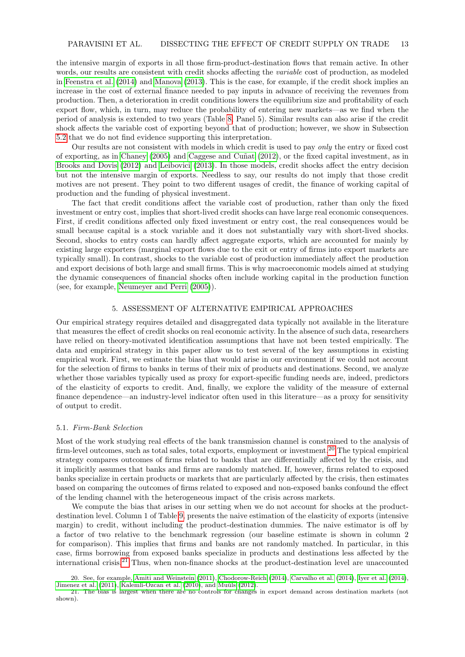the intensive margin of exports in all those firm-product-destination flows that remain active. In other words, our results are consistent with credit shocks affecting the variable cost of production, as modeled in [Feenstra et al.](#page-15-8) [\(2014\)](#page-15-8) and [Manova](#page-16-5) [\(2013\)](#page-16-5). This is the case, for example, if the credit shock implies an increase in the cost of external finance needed to pay inputs in advance of receiving the revenues from production. Then, a deterioration in credit conditions lowers the equilibrium size and profitability of each export flow, which, in turn, may reduce the probability of entering new markets—as we find when the period of analysis is extended to two years (Table [8,](#page-26-0) Panel 5). Similar results can also arise if the credit shock affects the variable cost of exporting beyond that of production; however, we show in Subsection [5.2](#page-13-0) that we do not find evidence supporting this interpretation.

Our results are not consistent with models in which credit is used to pay only the entry or fixed cost of exporting, as in [Chaney](#page-15-13) [\(2005\)](#page-15-13) and Caggese and Cuñat [\(2012\)](#page-15-27), or the fixed capital investment, as in [Brooks and Dovis](#page-15-28) [\(2012\)](#page-15-28) and [Leibovici](#page-16-20) [\(2013\)](#page-16-20). In those models, credit shocks affect the entry decision but not the intensive margin of exports. Needless to say, our results do not imply that those credit motives are not present. They point to two different usages of credit, the finance of working capital of production and the funding of physical investment.

The fact that credit conditions affect the variable cost of production, rather than only the fixed investment or entry cost, implies that short-lived credit shocks can have large real economic consequences. First, if credit conditions affected only fixed investment or entry cost, the real consequences would be small because capital is a stock variable and it does not substantially vary with short-lived shocks. Second, shocks to entry costs can hardly affect aggregate exports, which are accounted for mainly by existing large exporters (marginal export flows due to the exit or entry of firms into export markets are typically small). In contrast, shocks to the variable cost of production immediately affect the production and export decisions of both large and small firms. This is why macroeconomic models aimed at studying the dynamic consequences of financial shocks often include working capital in the production function (see, for example, [Neumeyer and Perri](#page-16-21) [\(2005\)](#page-16-21)).

### 5. ASSESSMENT OF ALTERNATIVE EMPIRICAL APPROACHES

<span id="page-12-0"></span>Our empirical strategy requires detailed and disaggregated data typically not available in the literature that measures the effect of credit shocks on real economic activity. In the absence of such data, researchers have relied on theory-motivated identification assumptions that have not been tested empirically. The data and empirical strategy in this paper allow us to test several of the key assumptions in existing empirical work. First, we estimate the bias that would arise in our environment if we could not account for the selection of firms to banks in terms of their mix of products and destinations. Second, we analyze whether those variables typically used as proxy for export-specific funding needs are, indeed, predictors of the elasticity of exports to credit. And, finally, we explore the validity of the measure of external finance dependence—an industry-level indicator often used in this literature—as a proxy for sensitivity of output to credit.

#### <span id="page-12-1"></span>5.1. Firm-Bank Selection

Most of the work studying real effects of the bank transmission channel is constrained to the analysis of firm-level outcomes, such as total sales, total exports, employment or investment.<sup>[20](#page-0-0)</sup> The typical empirical strategy compares outcomes of firms related to banks that are differentially affected by the crisis, and it implicitly assumes that banks and firms are randomly matched. If, however, firms related to exposed banks specialize in certain products or markets that are particularly affected by the crisis, then estimates based on comparing the outcomes of firms related to exposed and non-exposed banks confound the effect of the lending channel with the heterogeneous impact of the crisis across markets.

We compute the bias that arises in our setting when we do not account for shocks at the productdestination level. Column 1 of Table [9,](#page-27-1) presents the naive estimation of the elasticity of exports (intensive margin) to credit, without including the product-destination dummies. The naive estimator is off by a factor of two relative to the benchmark regression (our baseline estimate is shown in column 2 for comparison). This implies that firms and banks are not randomly matched. In particular, in this case, firms borrowing from exposed banks specialize in products and destinations less affected by the international crisis.[21](#page-0-0) Thus, when non-finance shocks at the product-destination level are unaccounted

<sup>20.</sup> See, for example, [Amiti and Weinstein](#page-14-1) [\(2011\)](#page-14-1), [Chodorow-Reich](#page-15-5) [\(2014\)](#page-15-5), [Carvalho et al.](#page-15-16) [\(2014\)](#page-15-16), [Iyer et al.](#page-15-6) [\(2014\)](#page-15-6), [Jimenez et al.](#page-15-7)  $(2011)$ , [Kalemli-Ozcan et al.](#page-16-13)  $(2010)$ , and Muûls  $(2012)$ .

<sup>21.</sup> The bias is largest when there are no controls for changes in export demand across destination markets (not shown).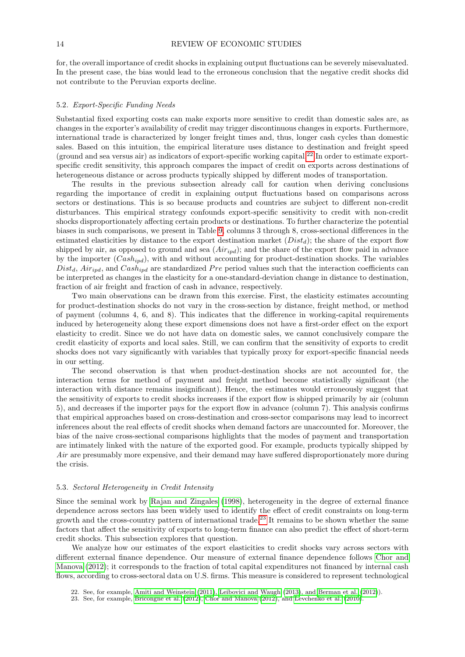for, the overall importance of credit shocks in explaining output fluctuations can be severely misevaluated. In the present case, the bias would lead to the erroneous conclusion that the negative credit shocks did not contribute to the Peruvian exports decline.

### <span id="page-13-0"></span>5.2. Export-Specific Funding Needs

Substantial fixed exporting costs can make exports more sensitive to credit than domestic sales are, as changes in the exporter's availability of credit may trigger discontinuous changes in exports. Furthermore, international trade is characterized by longer freight times and, thus, longer cash cycles than domestic sales. Based on this intuition, the empirical literature uses distance to destination and freight speed (ground and sea versus air) as indicators of export-specific working capital.[22](#page-0-0) In order to estimate exportspecific credit sensitivity, this approach compares the impact of credit on exports across destinations of heterogeneous distance or across products typically shipped by different modes of transportation.

The results in the previous subsection already call for caution when deriving conclusions regarding the importance of credit in explaining output fluctuations based on comparisons across sectors or destinations. This is so because products and countries are subject to different non-credit disturbances. This empirical strategy confounds export-specific sensitivity to credit with non-credit shocks disproportionately affecting certain products or destinations. To further characterize the potential biases in such comparisons, we present in Table [9,](#page-27-1) columns 3 through 8, cross-sectional differences in the estimated elasticities by distance to the export destination market  $(Dist_d)$ ; the share of the export flow shipped by air, as opposed to ground and sea  $(Air_{ipd})$ ; and the share of the export flow paid in advance by the importer  $(Cash_{ind})$ , with and without accounting for product-destination shocks. The variables  $Dist_d$ ,  $Air_{ipd}$ , and  $Cash_{ipd}$  are standardized Pre period values such that the interaction coefficients can be interpreted as changes in the elasticity for a one-standard-deviation change in distance to destination, fraction of air freight and fraction of cash in advance, respectively.

Two main observations can be drawn from this exercise. First, the elasticity estimates accounting for product-destination shocks do not vary in the cross-section by distance, freight method, or method of payment (columns 4, 6, and 8). This indicates that the difference in working-capital requirements induced by heterogeneity along these export dimensions does not have a first-order effect on the export elasticity to credit. Since we do not have data on domestic sales, we cannot conclusively compare the credit elasticity of exports and local sales. Still, we can confirm that the sensitivity of exports to credit shocks does not vary significantly with variables that typically proxy for export-specific financial needs in our setting.

The second observation is that when product-destination shocks are not accounted for, the interaction terms for method of payment and freight method become statistically significant (the interaction with distance remains insignificant). Hence, the estimates would erroneously suggest that the sensitivity of exports to credit shocks increases if the export flow is shipped primarily by air (column 5), and decreases if the importer pays for the export flow in advance (column 7). This analysis confirms that empirical approaches based on cross-destination and cross-sector comparisons may lead to incorrect inferences about the real effects of credit shocks when demand factors are unaccounted for. Moreover, the bias of the naive cross-sectional comparisons highlights that the modes of payment and transportation are intimately linked with the nature of the exported good. For example, products typically shipped by Air are presumably more expensive, and their demand may have suffered disproportionately more during the crisis.

#### 5.3. Sectoral Heterogeneity in Credit Intensity

Since the seminal work by [Rajan and Zingales](#page-16-7) [\(1998\)](#page-16-7), heterogeneity in the degree of external finance dependence across sectors has been widely used to identify the effect of credit constraints on long-term growth and the cross-country pattern of international trade.[23](#page-0-0) It remains to be shown whether the same factors that affect the sensitivity of exports to long-term finance can also predict the effect of short-term credit shocks. This subsection explores that question.

We analyze how our estimates of the export elasticities to credit shocks vary across sectors with different external finance dependence. Our measure of external finance dependence follows [Chor and](#page-15-11) [Manova](#page-15-11) [\(2012\)](#page-15-11); it corresponds to the fraction of total capital expenditures not financed by internal cash flows, according to cross-sectoral data on U.S. firms. This measure is considered to represent technological

<sup>22.</sup> See, for example, [Amiti and Weinstein](#page-14-1) [\(2011\)](#page-14-1), [Leibovici and Waugh](#page-16-14) [\(2013\)](#page-16-14), and [Berman et al.](#page-15-17) [\(2012\)](#page-15-17)).

<sup>23.</sup> See, for example, [Bricongne et al.](#page-15-9) [\(2012\)](#page-15-9), [Chor and Manova](#page-15-11) [\(2012\)](#page-15-11), and [Levchenko et al.](#page-16-6) [\(2010\)](#page-16-6).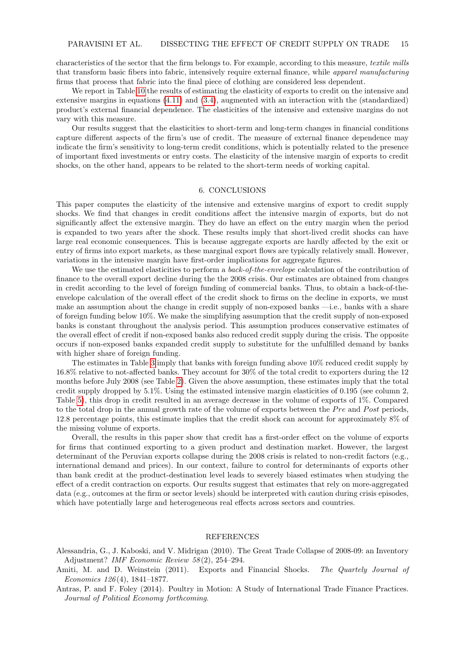characteristics of the sector that the firm belongs to. For example, according to this measure, textile mills that transform basic fibers into fabric, intensively require external finance, while apparel manufacturing firms that process that fabric into the final piece of clothing are considered less dependent.

We report in Table [10](#page-27-0) the results of estimating the elasticity of exports to credit on the intensive and extensive margins in equations [\(4.11\)](#page-8-1) and [\(3.4\)](#page-5-0), augmented with an interaction with the (standardized) product's external financial dependence. The elasticities of the intensive and extensive margins do not vary with this measure.

Our results suggest that the elasticities to short-term and long-term changes in financial conditions capture different aspects of the firm's use of credit. The measure of external finance dependence may indicate the firm's sensitivity to long-term credit conditions, which is potentially related to the presence of important fixed investments or entry costs. The elasticity of the intensive margin of exports to credit shocks, on the other hand, appears to be related to the short-term needs of working capital.

#### 6. CONCLUSIONS

<span id="page-14-2"></span>This paper computes the elasticity of the intensive and extensive margins of export to credit supply shocks. We find that changes in credit conditions affect the intensive margin of exports, but do not significantly affect the extensive margin. They do have an effect on the entry margin when the period is expanded to two years after the shock. These results imply that short-lived credit shocks can have large real economic consequences. This is because aggregate exports are hardly affected by the exit or entry of firms into export markets, as these marginal export flows are typically relatively small. However, variations in the intensive margin have first-order implications for aggregate figures.

We use the estimated elasticities to perform a *back-of-the-envelope* calculation of the contribution of finance to the overall export decline during the the 2008 crisis. Our estimates are obtained from changes in credit according to the level of foreign funding of commercial banks. Thus, to obtain a back-of-theenvelope calculation of the overall effect of the credit shock to firms on the decline in exports, we must make an assumption about the change in credit supply of non-exposed banks —i.e., banks with a share of foreign funding below 10%. We make the simplifying assumption that the credit supply of non-exposed banks is constant throughout the analysis period. This assumption produces conservative estimates of the overall effect of credit if non-exposed banks also reduced credit supply during the crisis. The opposite occurs if non-exposed banks expanded credit supply to substitute for the unfulfilled demand by banks with higher share of foreign funding.

The estimates in Table [3](#page-21-0) imply that banks with foreign funding above 10% reduced credit supply by 16.8% relative to not-affected banks. They account for 30% of the total credit to exporters during the 12 months before July 2008 (see Table [2\)](#page-20-0). Given the above assumption, these estimates imply that the total credit supply dropped by 5.1%. Using the estimated intensive margin elasticities of 0.195 (see column 2, Table [5\)](#page-22-0), this drop in credit resulted in an average decrease in the volume of exports of 1%. Compared to the total drop in the annual growth rate of the volume of exports between the  $Pre$  and  $Post$  periods, 12.8 percentage points, this estimate implies that the credit shock can account for approximately 8% of the missing volume of exports.

Overall, the results in this paper show that credit has a first-order effect on the volume of exports for firms that continued exporting to a given product and destination market. However, the largest determinant of the Peruvian exports collapse during the 2008 crisis is related to non-credit factors (e.g., international demand and prices). In our context, failure to control for determinants of exports other than bank credit at the product-destination level leads to severely biased estimates when studying the effect of a credit contraction on exports. Our results suggest that estimates that rely on more-aggregated data (e.g., outcomes at the firm or sector levels) should be interpreted with caution during crisis episodes, which have potentially large and heterogeneous real effects across sectors and countries.

## REFERENCES

<span id="page-14-3"></span>Alessandria, G., J. Kaboski, and V. Midrigan (2010). The Great Trade Collapse of 2008-09: an Inventory Adjustment? IMF Economic Review 58 (2), 254–294.

<span id="page-14-1"></span>Amiti, M. and D. Weinstein (2011). Exports and Financial Shocks. The Quartely Journal of Economics 126 (4), 1841–1877.

<span id="page-14-0"></span>Antras, P. and F. Foley (2014). Poultry in Motion: A Study of International Trade Finance Practices. Journal of Political Economy forthcoming.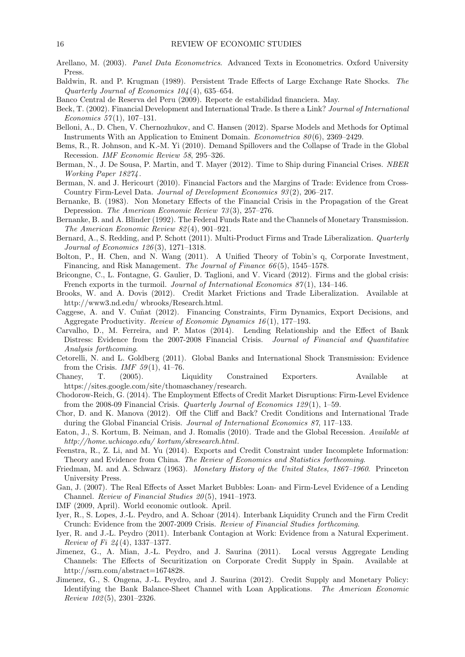- <span id="page-15-25"></span>Arellano, M. (2003). Panel Data Econometrics. Advanced Texts in Econometrics. Oxford University Press.
- <span id="page-15-12"></span>Baldwin, R. and P. Krugman (1989). Persistent Trade Effects of Large Exchange Rate Shocks. The Quarterly Journal of Economics 104 (4), 635–654.
- <span id="page-15-20"></span>Banco Central de Reserva del Peru (2009). Reporte de estabilidad financiera. May.
- <span id="page-15-14"></span>Beck, T. (2002). Financial Development and International Trade. Is there a Link? Journal of International Economics  $57(1)$ ,  $107-131$ .
- <span id="page-15-24"></span>Belloni, A., D. Chen, V. Chernozhukov, and C. Hansen (2012). Sparse Models and Methods for Optimal Instruments With an Application to Eminent Domain. Econometrica 80 (6), 2369–2429.
- <span id="page-15-18"></span>Bems, R., R. Johnson, and K.-M. Yi (2010). Demand Spillovers and the Collapse of Trade in the Global Recession. IMF Economic Review 58, 295–326.
- <span id="page-15-17"></span>Berman, N., J. De Sousa, P. Martin, and T. Mayer (2012). Time to Ship during Financial Crises. NBER Working Paper 18274 .
- <span id="page-15-15"></span>Berman, N. and J. Hericourt (2010). Financial Factors and the Margins of Trade: Evidence from Cross-Country Firm-Level Data. Journal of Development Economics 93 (2), 206–217.
- <span id="page-15-1"></span>Bernanke, B. (1983). Non Monetary Effects of the Financial Crisis in the Propagation of the Great Depression. The American Economic Review 73 (3), 257–276.
- <span id="page-15-4"></span>Bernanke, B. and A. Blinder (1992). The Federal Funds Rate and the Channels of Monetary Transmission. The American Economic Review 82 (4), 901–921.
- <span id="page-15-26"></span>Bernard, A., S. Redding, and P. Schott (2011). Multi-Product Firms and Trade Liberalization. Quarterly Journal of Economics 126 (3), 1271–1318.
- <span id="page-15-10"></span>Bolton, P., H. Chen, and N. Wang (2011). A Unified Theory of Tobin's q, Corporate Investment, Financing, and Risk Management. The Journal of Finance 66 (5), 1545–1578.
- <span id="page-15-9"></span>Bricongne, C., L. Fontagne, G. Gaulier, D. Taglioni, and V. Vicard (2012). Firms and the global crisis: French exports in the turmoil. *Journal of International Economics 87*(1), 134–146.
- <span id="page-15-28"></span>Brooks, W. and A. Dovis (2012). Credit Market Frictions and Trade Liberalization. Available at http://www3.nd.edu/ wbrooks/Research.html.
- <span id="page-15-27"></span>Caggese, A. and V. Cuñat (2012). Financing Constraints, Firm Dynamics, Export Decisions, and Aggregate Productivity. Review of Economic Dynamics 16 (1), 177–193.
- <span id="page-15-16"></span>Carvalho, D., M. Ferreira, and P. Matos (2014). Lending Relationship and the Effect of Bank Distress: Evidence from the 2007-2008 Financial Crisis. Journal of Financial and Quantitative Analysis forthcoming.
- <span id="page-15-2"></span>Cetorelli, N. and L. Goldberg (2011). Global Banks and International Shock Transmission: Evidence from the Crisis. IMF  $59(1)$ , 41-76.
- <span id="page-15-13"></span>Chaney, T. (2005). Liquidity Constrained Exporters. Available at https://sites.google.com/site/thomaschaney/research.
- <span id="page-15-5"></span>Chodorow-Reich, G. (2014). The Employment Effects of Credit Market Disruptions: Firm-Level Evidence from the 2008-09 Financial Crisis. Quarterly Journal of Economics 129 (1), 1–59.
- <span id="page-15-11"></span>Chor, D. and K. Manova (2012). Off the Cliff and Back? Credit Conditions and International Trade during the Global Financial Crisis. Journal of International Economics 87, 117–133.
- <span id="page-15-19"></span>Eaton, J., S. Kortum, B. Neiman, and J. Romalis (2010). Trade and the Global Recession. Available at http://home.uchicago.edu/ kortum/skresearch.html.
- <span id="page-15-8"></span>Feenstra, R., Z. Li, and M. Yu (2014). Exports and Credit Constraint under Incomplete Information: Theory and Evidence from China. The Review of Economics and Statistics forthcoming.
- <span id="page-15-0"></span>Friedman, M. and A. Schwarz (1963). Monetary History of the United States, 1867–1960. Princeton University Press.
- <span id="page-15-21"></span>Gan, J. (2007). The Real Effects of Asset Market Bubbles: Loan- and Firm-Level Evidence of a Lending Channel. Review of Financial Studies 20 (5), 1941–1973.
- <span id="page-15-3"></span>IMF (2009, April). World economic outlook. April.
- <span id="page-15-6"></span>Iyer, R., S. Lopes, J.-L. Peydro, and A. Schoar (2014). Interbank Liquidity Crunch and the Firm Credit Crunch: Evidence from the 2007-2009 Crisis. Review of Financial Studies forthcoming.
- <span id="page-15-22"></span>Iyer, R. and J.-L. Peydro (2011). Interbank Contagion at Work: Evidence from a Natural Experiment. Review of Fi 24 (4), 1337–1377.
- <span id="page-15-7"></span>Jimenez, G., A. Mian, J.-L. Peydro, and J. Saurina (2011). Local versus Aggregate Lending Channels: The Effects of Securitization on Corporate Credit Supply in Spain. Available at http://ssrn.com/abstract=1674828.
- <span id="page-15-23"></span>Jimenez, G., S. Ongena, J.-L. Peydro, and J. Saurina (2012). Credit Supply and Monetary Policy: Identifying the Bank Balance-Sheet Channel with Loan Applications. The American Economic Review 102 (5), 2301–2326.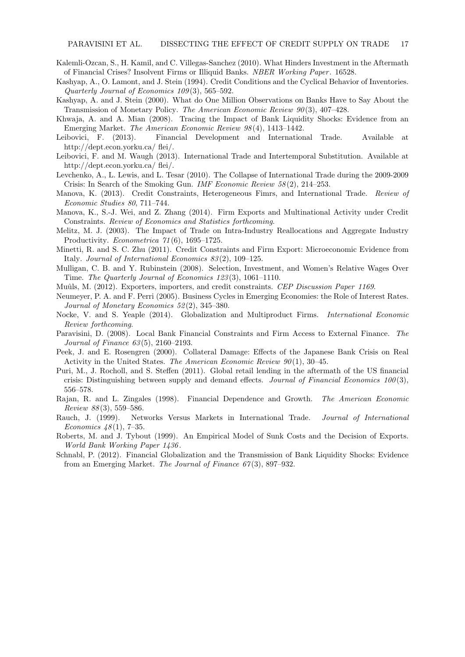- <span id="page-16-13"></span>Kalemli-Ozcan, S., H. Kamil, and C. Villegas-Sanchez (2010). What Hinders Investment in the Aftermath of Financial Crises? Insolvent Firms or Illiquid Banks. NBER Working Paper . 16528.
- <span id="page-16-2"></span>Kashyap, A., O. Lamont, and J. Stein (1994). Credit Conditions and the Cyclical Behavior of Inventories. Quarterly Journal of Economics 109 (3), 565–592.
- <span id="page-16-3"></span>Kashyap, A. and J. Stein (2000). What do One Million Observations on Banks Have to Say About the Transmission of Monetary Policy. The American Economic Review 90 (3), 407–428.
- <span id="page-16-15"></span>Khwaja, A. and A. Mian (2008). Tracing the Impact of Bank Liquidity Shocks: Evidence from an Emerging Market. The American Economic Review 98 (4), 1413–1442.
- <span id="page-16-20"></span>Leibovici, F. (2013). Financial Development and International Trade. Available at http://dept.econ.yorku.ca/ flei/.
- <span id="page-16-14"></span>Leibovici, F. and M. Waugh (2013). International Trade and Intertemporal Substitution. Available at http://dept.econ.yorku.ca/ flei/.
- <span id="page-16-6"></span>Levchenko, A., L. Lewis, and L. Tesar (2010). The Collapse of International Trade during the 2009-2009 Crisis: In Search of the Smoking Gun. IMF Economic Review 58 (2), 214–253.
- <span id="page-16-5"></span>Manova, K. (2013). Credit Constraints, Heterogeneous Fimrs, and International Trade. Review of Economic Studies 80, 711–744.
- <span id="page-16-10"></span>Manova, K., S.-J. Wei, and Z. Zhang (2014). Firm Exports and Multinational Activity under Credit Constraints. Review of Economics and Statistics forthcoming.
- <span id="page-16-9"></span>Melitz, M. J. (2003). The Impact of Trade on Intra-Industry Reallocations and Aggregate Industry Productivity. *Econometrica*  $71(6)$ , 1695–1725.
- <span id="page-16-11"></span>Minetti, R. and S. C. Zhu (2011). Credit Constraints and Firm Export: Microeconomic Evidence from Italy. Journal of International Economics 83 (2), 109–125.
- <span id="page-16-17"></span>Mulligan, C. B. and Y. Rubinstein (2008). Selection, Investment, and Women's Relative Wages Over Time. The Quarterly Journal of Economics 123 (3), 1061–1110.
- <span id="page-16-12"></span>Muûls, M. (2012). Exporters, importers, and credit constraints. CEP Discussion Paper 1169.
- <span id="page-16-21"></span>Neumeyer, P. A. and F. Perri (2005). Business Cycles in Emerging Economies: the Role of Interest Rates. Journal of Monetary Economics 52 (2), 345–380.
- <span id="page-16-19"></span>Nocke, V. and S. Yeaple (2014). Globalization and Multiproduct Firms. International Economic Review forthcoming.
- <span id="page-16-16"></span>Paravisini, D. (2008). Local Bank Financial Constraints and Firm Access to External Finance. The Journal of Finance 63 (5), 2160–2193.
- <span id="page-16-4"></span>Peek, J. and E. Rosengren (2000). Collateral Damage: Effects of the Japanese Bank Crisis on Real Activity in the United States. The American Economic Review  $90(1)$ , 30–45.
- <span id="page-16-1"></span>Puri, M., J. Rocholl, and S. Steffen (2011). Global retail lending in the aftermath of the US financial crisis: Distinguishing between supply and demand effects. Journal of Financial Economics  $100(3)$ , 556–578.
- <span id="page-16-7"></span>Rajan, R. and L. Zingales (1998). Financial Dependence and Growth. The American Economic Review  $88(3)$ , 559–586.
- <span id="page-16-18"></span>Rauch, J. (1999). Networks Versus Markets in International Trade. Journal of International *Economics*  $48(1)$ , 7-35.
- <span id="page-16-8"></span>Roberts, M. and J. Tybout (1999). An Empirical Model of Sunk Costs and the Decision of Exports. World Bank Working Paper 1436 .
- <span id="page-16-0"></span>Schnabl, P. (2012). Financial Globalization and the Transmission of Bank Liquidity Shocks: Evidence from an Emerging Market. The Journal of Finance 67 (3), 897–932.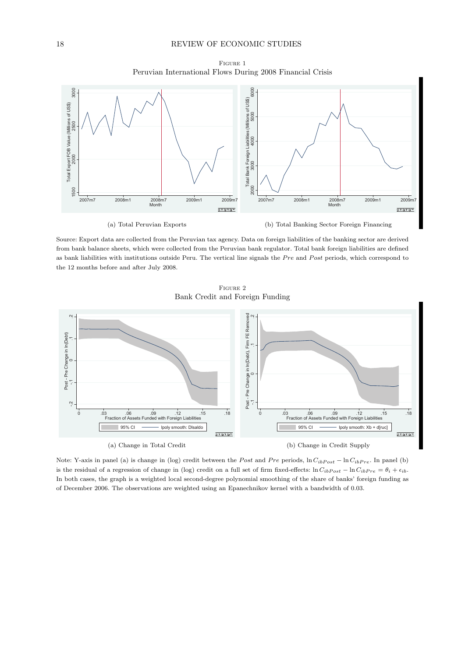Figure 1 Peruvian International Flows During 2008 Financial Crisis

<span id="page-17-0"></span>

Source: Export data are collected from the Peruvian tax agency. Data on foreign liabilities of the banking sector are derived from bank balance sheets, which were collected from the Peruvian bank regulator. Total bank foreign liabilities are defined as bank liabilities with institutions outside Peru. The vertical line signals the Pre and Post periods, which correspond to the 12 months before and after July 2008.

<span id="page-17-1"></span>Figure 2 Bank Credit and Foreign Funding

<span id="page-17-2"></span>

Note: Y-axis in panel (a) is change in (log) credit between the Post and Pre periods,  $\ln C_{ibPost} - \ln C_{ibPre}$ . In panel (b) is the residual of a regression of change in (log) credit on a full set of firm fixed-effects: ln  $C_{ibPost} - \ln C_{ibPre} = \theta_i + \epsilon_{ib}$ . In both cases, the graph is a weighted local second-degree polynomial smoothing of the share of banks' foreign funding as of December 2006. The observations are weighted using an Epanechnikov kernel with a bandwidth of 0.03.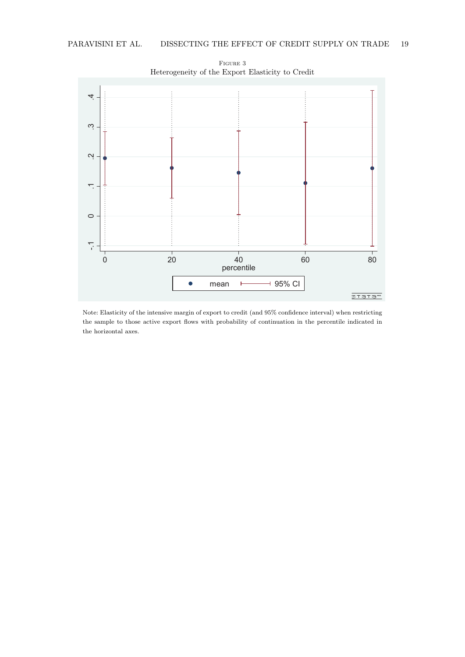<span id="page-18-0"></span>

FIGURE 3 Heterogeneity of the Export Elasticity to Credit

Note: Elasticity of the intensive margin of export to credit (and 95% confidence interval) when restricting the sample to those active export flows with probability of continuation in the percentile indicated in the horizontal axes.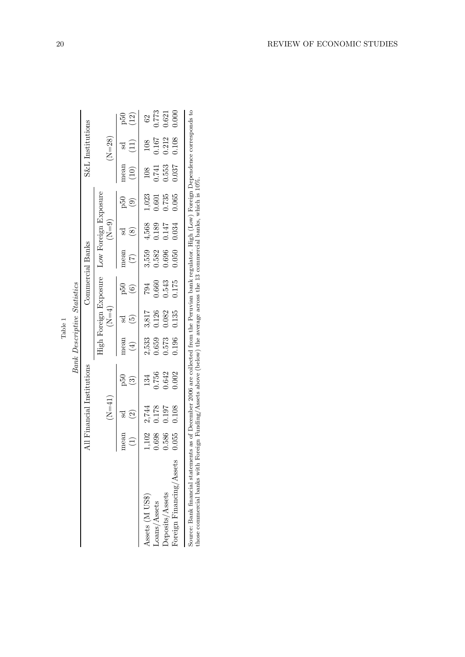<span id="page-19-0"></span>

|       | č        |
|-------|----------|
| H     | $\vdots$ |
| Table |          |

|                                                                                                                                                                                                                                                                                 |       |                    |                            |                     | <b>Bank Descriptive Statistics</b> |                      |                |                                            |                       |                    |                  |             |
|---------------------------------------------------------------------------------------------------------------------------------------------------------------------------------------------------------------------------------------------------------------------------------|-------|--------------------|----------------------------|---------------------|------------------------------------|----------------------|----------------|--------------------------------------------|-----------------------|--------------------|------------------|-------------|
|                                                                                                                                                                                                                                                                                 |       |                    | All Financial Institutions |                     |                                    | Commercial Banks     |                |                                            |                       |                    | S&L Institutions |             |
|                                                                                                                                                                                                                                                                                 |       | $(N=41)$           |                            |                     | High Foreign Exposure<br>$(N=4)$   |                      |                | Low Foreign Exposure<br>$(\overline{N=9})$ |                       |                    | $(N=28)$         |             |
|                                                                                                                                                                                                                                                                                 | mean  | $\widehat{\Omega}$ | p50<br>$\odot$             | nean<br>$\bigoplus$ | $\widetilde{\mathfrak{G}}$<br>Sd   | p50<br>$\widehat{6}$ | nean<br>E      | $\mathbf{S}$                               | 50<br>Pad<br>$\odot$  | nean<br>(10)       | $\Xi$<br>Sd      | (12)<br>05q |
| Assets (M US\$)                                                                                                                                                                                                                                                                 | 1,102 | 2,744              | 134                        |                     |                                    | 794                  |                |                                            |                       | 108                | 108              | 62          |
| Loans/Assets                                                                                                                                                                                                                                                                    | 0.698 | 0.178              | 0.756                      | 2,533<br>0.659      | 3,817<br>0.126                     | 0.660                | 3,559<br>0.582 | $4,568$<br>0.189<br>0.147                  | $\frac{1,023}{0.601}$ |                    | 0.167            |             |
| Deposits/Assets                                                                                                                                                                                                                                                                 | 0.586 | 197                | 0.642                      | 0.573               | 0.082                              | 0.543                | 0.696          |                                            | 0.735                 | $0.741$<br>$0.553$ | 0.212            | 0.773       |
| Foreign Financing/Assets                                                                                                                                                                                                                                                        | 0.055 | 0.108              | 0.002                      | 0.196               | 0.135                              | 0.175                | 0.050          | 0.34                                       | 0.065                 | 1.037              | 0.108            | 0.000       |
| Source: Bank financial statements as of December 2006 are collected from the Peruvian bank regulator. High (Low) Foreign Dependence corresponds to<br>those commercial banks with Foreign Funding/Assets above (below) the average across the 13 commercial banks, which is 10% |       |                    |                            |                     |                                    |                      |                |                                            |                       |                    |                  |             |

òďs Source: Bank mancial statements as of December 2006 are collected from the Ferivian bank regulator. High (Low) Foreign Depe<br>those commercial banks with Foreign Funding/Assets above (below) the average across the 13 commerc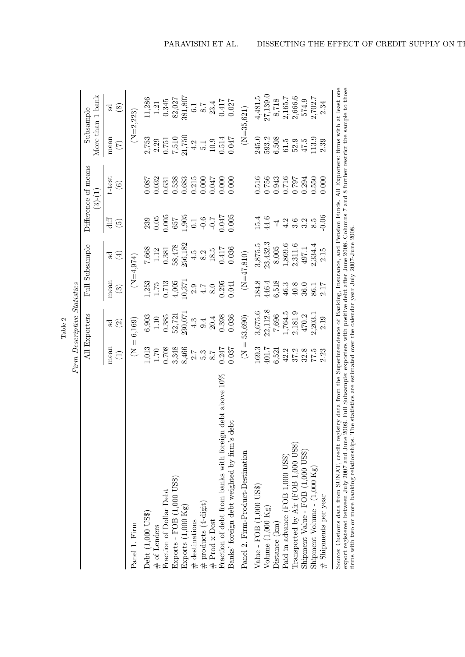| 0.538<br>0.215<br>$0.000$<br>0.047<br>0.516<br>0.756<br>0.943<br>$0.716$<br>0.797<br>t-test<br>1.087<br>0.032<br>0.683<br>0.000<br>0.000<br>0.631<br>$\widehat{\circ}$<br>$1,905$ $0.1$<br>0.005<br>$70.005$<br>710.0<br>44.6<br>0.05<br>657<br>$-0.6$<br>239<br>15.4<br>diff<br>4.2<br>3.6<br>$\widetilde{5}$<br>$\overline{A}$<br>$3,875.5$<br>$23,432.3$<br>256,182<br>1,869.6<br>$2,\!311.6$<br>58,478<br>$8,005$<br>$7,668$<br>1.12<br>0.381<br>0.036<br>0.417<br>$18.5\,$<br>4.5<br>$(N=47, 810)$<br>8.2<br>$\bigoplus$<br>Sd<br>$(N=4,974)$<br>184.8<br>1,253<br>mean<br>4,005<br>10,371<br>0.295<br>446.4<br>6,518<br>0.713<br>0.041<br>1.75<br>46.3<br>$40.8\,$<br>$\begin{array}{c} 2.9 \\ 4.7 \end{array}$<br>$8.0\,$<br>$\widehat{S}$<br>22,112.8<br>3,675.6<br>1,764.5<br>2,181.9<br>230,071<br>$7,696$<br>0.385<br>$\begin{array}{c} 6,903 \\ 1.10 \end{array}$<br>52,721<br>0.036<br>0.398<br>53,690)<br>20.4<br>$4.3\,$<br>9.4<br>6,169)<br>$\widehat{\Omega}$<br>Зd<br>$\frac{1}{2}$<br>$= N)$<br>169.3<br>1,013<br>8,466<br>mean<br>0.708<br>3,348<br>0.037<br>401.7<br>0.247<br>$1.70\,$<br>6,521<br>42.2<br>37.2<br>$2.3$<br>$5.3$<br>$8.7$<br>$\bigoplus$<br>Fraction of debt from banks with foreign debt above $10\%$<br>Banks' foreign debt weighted by firm's debt<br>Transported by Air (FOB 1,000 US\$)<br>Panel 2. Firm-Product-Destination<br>Paid in advance (FOB 1,000 US\$)<br>Exports - FOB (1,000 US\$)<br>Value - FOB $(1,000$ US\$)<br>Fraction of Dollar Debt<br>$\begin{array}{l} \# \text{ products (4-digit)}\\ \# \text{ Prod} \ge \text{Dest} \end{array}$<br>$\begin{array}{l} \mbox{Exports (1,000 Kg)}\\ \#~\mbox{destinations} \end{array}$<br>Volume $(1,000 \text{ Kg})$<br>Debt (1,000 US\$)<br>Distance (km)<br>Panel 1. Firm<br># of Lenders |                                   |        | All Exporters |      | Full Subsample |     | Difference of means<br>$(3)-(1)$ |                                                                               | More than 1 bank<br>Subsample |
|-------------------------------------------------------------------------------------------------------------------------------------------------------------------------------------------------------------------------------------------------------------------------------------------------------------------------------------------------------------------------------------------------------------------------------------------------------------------------------------------------------------------------------------------------------------------------------------------------------------------------------------------------------------------------------------------------------------------------------------------------------------------------------------------------------------------------------------------------------------------------------------------------------------------------------------------------------------------------------------------------------------------------------------------------------------------------------------------------------------------------------------------------------------------------------------------------------------------------------------------------------------------------------------------------------------------------------------------------------------------------------------------------------------------------------------------------------------------------------------------------------------------------------------------------------------------------------------------------------------------------------------------------------------------------------------------------------------------------------------------------------------------------------------------------|-----------------------------------|--------|---------------|------|----------------|-----|----------------------------------|-------------------------------------------------------------------------------|-------------------------------|
|                                                                                                                                                                                                                                                                                                                                                                                                                                                                                                                                                                                                                                                                                                                                                                                                                                                                                                                                                                                                                                                                                                                                                                                                                                                                                                                                                                                                                                                                                                                                                                                                                                                                                                                                                                                                 |                                   |        |               |      |                |     |                                  | mean<br>$\widetilde{\Xi}$                                                     | ್ದ<br>$\overset{\infty}{(8)}$ |
|                                                                                                                                                                                                                                                                                                                                                                                                                                                                                                                                                                                                                                                                                                                                                                                                                                                                                                                                                                                                                                                                                                                                                                                                                                                                                                                                                                                                                                                                                                                                                                                                                                                                                                                                                                                                 |                                   |        |               |      |                |     |                                  |                                                                               | $(N=2,223)$                   |
|                                                                                                                                                                                                                                                                                                                                                                                                                                                                                                                                                                                                                                                                                                                                                                                                                                                                                                                                                                                                                                                                                                                                                                                                                                                                                                                                                                                                                                                                                                                                                                                                                                                                                                                                                                                                 |                                   |        |               |      |                |     |                                  |                                                                               |                               |
|                                                                                                                                                                                                                                                                                                                                                                                                                                                                                                                                                                                                                                                                                                                                                                                                                                                                                                                                                                                                                                                                                                                                                                                                                                                                                                                                                                                                                                                                                                                                                                                                                                                                                                                                                                                                 |                                   |        |               |      |                |     |                                  | $2,753$<br>$2.29$                                                             | $\frac{11,286}{1.21}$         |
|                                                                                                                                                                                                                                                                                                                                                                                                                                                                                                                                                                                                                                                                                                                                                                                                                                                                                                                                                                                                                                                                                                                                                                                                                                                                                                                                                                                                                                                                                                                                                                                                                                                                                                                                                                                                 |                                   |        |               |      |                |     |                                  |                                                                               | 0.345                         |
|                                                                                                                                                                                                                                                                                                                                                                                                                                                                                                                                                                                                                                                                                                                                                                                                                                                                                                                                                                                                                                                                                                                                                                                                                                                                                                                                                                                                                                                                                                                                                                                                                                                                                                                                                                                                 |                                   |        |               |      |                |     |                                  |                                                                               | 82,027                        |
|                                                                                                                                                                                                                                                                                                                                                                                                                                                                                                                                                                                                                                                                                                                                                                                                                                                                                                                                                                                                                                                                                                                                                                                                                                                                                                                                                                                                                                                                                                                                                                                                                                                                                                                                                                                                 |                                   |        |               |      |                |     |                                  | $\begin{array}{c} 0.751 \\ 7,510 \\ 21,750 \\ 4.2 \\ 5.1 \\ 10.9 \end{array}$ | 381,807                       |
|                                                                                                                                                                                                                                                                                                                                                                                                                                                                                                                                                                                                                                                                                                                                                                                                                                                                                                                                                                                                                                                                                                                                                                                                                                                                                                                                                                                                                                                                                                                                                                                                                                                                                                                                                                                                 |                                   |        |               |      |                |     |                                  |                                                                               | 6.1                           |
|                                                                                                                                                                                                                                                                                                                                                                                                                                                                                                                                                                                                                                                                                                                                                                                                                                                                                                                                                                                                                                                                                                                                                                                                                                                                                                                                                                                                                                                                                                                                                                                                                                                                                                                                                                                                 |                                   |        |               |      |                |     |                                  |                                                                               | $\sqrt{8.7}$                  |
|                                                                                                                                                                                                                                                                                                                                                                                                                                                                                                                                                                                                                                                                                                                                                                                                                                                                                                                                                                                                                                                                                                                                                                                                                                                                                                                                                                                                                                                                                                                                                                                                                                                                                                                                                                                                 |                                   |        |               |      |                |     |                                  |                                                                               | 23.4                          |
|                                                                                                                                                                                                                                                                                                                                                                                                                                                                                                                                                                                                                                                                                                                                                                                                                                                                                                                                                                                                                                                                                                                                                                                                                                                                                                                                                                                                                                                                                                                                                                                                                                                                                                                                                                                                 |                                   |        |               |      |                |     |                                  | 1.514                                                                         |                               |
|                                                                                                                                                                                                                                                                                                                                                                                                                                                                                                                                                                                                                                                                                                                                                                                                                                                                                                                                                                                                                                                                                                                                                                                                                                                                                                                                                                                                                                                                                                                                                                                                                                                                                                                                                                                                 |                                   |        |               |      |                |     |                                  | 0.047                                                                         | $0.417$<br>$0.027$            |
|                                                                                                                                                                                                                                                                                                                                                                                                                                                                                                                                                                                                                                                                                                                                                                                                                                                                                                                                                                                                                                                                                                                                                                                                                                                                                                                                                                                                                                                                                                                                                                                                                                                                                                                                                                                                 |                                   |        |               |      |                |     |                                  |                                                                               | $(N=35,621)$                  |
|                                                                                                                                                                                                                                                                                                                                                                                                                                                                                                                                                                                                                                                                                                                                                                                                                                                                                                                                                                                                                                                                                                                                                                                                                                                                                                                                                                                                                                                                                                                                                                                                                                                                                                                                                                                                 |                                   |        |               |      |                |     |                                  | 245.0                                                                         |                               |
|                                                                                                                                                                                                                                                                                                                                                                                                                                                                                                                                                                                                                                                                                                                                                                                                                                                                                                                                                                                                                                                                                                                                                                                                                                                                                                                                                                                                                                                                                                                                                                                                                                                                                                                                                                                                 |                                   |        |               |      |                |     |                                  | 593.2                                                                         | $4,481.5$<br>$27,139.0$       |
|                                                                                                                                                                                                                                                                                                                                                                                                                                                                                                                                                                                                                                                                                                                                                                                                                                                                                                                                                                                                                                                                                                                                                                                                                                                                                                                                                                                                                                                                                                                                                                                                                                                                                                                                                                                                 |                                   |        |               |      |                |     |                                  | 6,508                                                                         | $8,718$                       |
|                                                                                                                                                                                                                                                                                                                                                                                                                                                                                                                                                                                                                                                                                                                                                                                                                                                                                                                                                                                                                                                                                                                                                                                                                                                                                                                                                                                                                                                                                                                                                                                                                                                                                                                                                                                                 |                                   |        |               |      |                |     |                                  | 61.5                                                                          | 2,165.7                       |
|                                                                                                                                                                                                                                                                                                                                                                                                                                                                                                                                                                                                                                                                                                                                                                                                                                                                                                                                                                                                                                                                                                                                                                                                                                                                                                                                                                                                                                                                                                                                                                                                                                                                                                                                                                                                 |                                   |        |               |      |                |     |                                  | $52.9$<br>$47.5$                                                              | 2,666.6                       |
|                                                                                                                                                                                                                                                                                                                                                                                                                                                                                                                                                                                                                                                                                                                                                                                                                                                                                                                                                                                                                                                                                                                                                                                                                                                                                                                                                                                                                                                                                                                                                                                                                                                                                                                                                                                                 | Shipment Value - FOB (1,000 US\$) | $32.8$ | 470.2         | 36.0 | 497.1          | 3.2 | 0.294                            |                                                                               | 574.9                         |
| 0.550<br>$8.\overline{5}$<br>2,334.4<br>86.1<br>2,203.1<br>77.5<br>Shipment Volume - $(1,000 \text{ Kg})$                                                                                                                                                                                                                                                                                                                                                                                                                                                                                                                                                                                                                                                                                                                                                                                                                                                                                                                                                                                                                                                                                                                                                                                                                                                                                                                                                                                                                                                                                                                                                                                                                                                                                       |                                   |        |               |      |                |     |                                  | 113.9                                                                         | 2,702.7                       |
| 0.000<br>$-0.06$<br>2.15<br>217<br>2.19<br>2.23<br># Shipments per year                                                                                                                                                                                                                                                                                                                                                                                                                                                                                                                                                                                                                                                                                                                                                                                                                                                                                                                                                                                                                                                                                                                                                                                                                                                                                                                                                                                                                                                                                                                                                                                                                                                                                                                         |                                   |        |               |      |                |     |                                  | 2.39                                                                          | 2.34                          |

<span id="page-20-0"></span>Firm Descriptive Statistics Table 2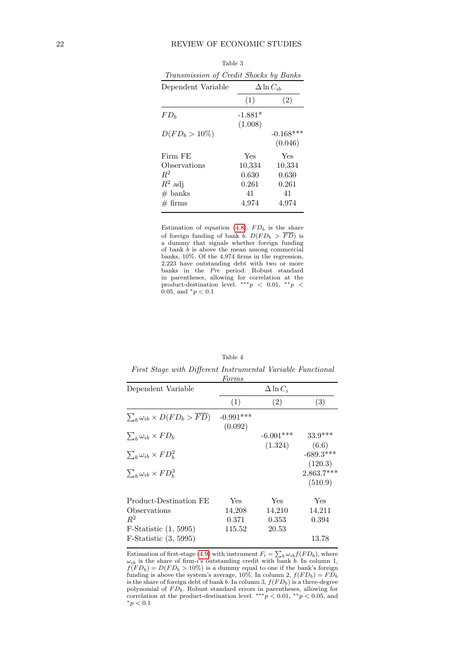Table 3

<span id="page-21-0"></span>

|           | Transmission of Credit Shocks by Banks |
|-----------|----------------------------------------|
|           | $\Delta \ln C_{ih}$                    |
| (1)       | (2)                                    |
| $-1.881*$ |                                        |
| (1.008)   |                                        |
|           | $-0.168***$                            |
|           | (0.046)                                |
| Yes       | Yes                                    |
| 10,334    | 10,334                                 |
| 0.630     | 0.630                                  |
| 0.261     | 0.261                                  |
| 41        | 41                                     |
| 4,974     | 4,974                                  |
|           |                                        |

Estimation of equation [\(4.8\)](#page-6-2).  $FD<sub>b</sub>$  is the share of foreign funding of bank b.  $D(FD_b > \overline{FD})$  is a dummy that signals whether foreign funding of bank  $\overline{b}$  is above the mean among commercial banks, 10%. Of the 4,974 firms in the regression, 2,223 have outstanding debt with two or more banks in the Pre period. Robust standard in parentheses, allowing for correlation at the product-destination level. \*\*\*p < 0.01, \*\*p < 0.05, and  $* p < 0.1$ 

| . |  |
|---|--|
|   |  |

<span id="page-21-1"></span>First Stage with Different Instrumental Variable Functional Forms

| Dependent Variable                                                                |                                  | $\Delta \ln C_i$                |                                 |
|-----------------------------------------------------------------------------------|----------------------------------|---------------------------------|---------------------------------|
|                                                                                   | (1)                              | (2)                             | (3)                             |
| $\sum_{b} \omega_{ib} \times D(FD_b > FD)$                                        | $-0.991***$<br>(0.092)           |                                 |                                 |
| $\sum_{b} \omega_{ib} \times FD_b$                                                |                                  | $-6.001***$                     | $33.9***$                       |
| $\sum_{b} \omega_{ib} \times FD_b^2$                                              |                                  | (1.324)                         | (6.6)<br>$-689.3***$<br>(120.3) |
| $\sum_{b} \omega_{ib} \times FD_{b}^{3}$                                          |                                  |                                 | $2.863.7***$<br>(510.9)         |
| Product-Destination FE<br>Observations<br>$R^2$<br>$F\text{-}Statistic (1, 5995)$ | Yes<br>14,208<br>0.371<br>115.52 | Yes<br>14,210<br>0.353<br>20.53 | Yes<br>14,211<br>0.394          |
| $F\text{-}Statistic (3, 5995)$                                                    |                                  |                                 | 13.78                           |

Estimation of first-stage [\(4.9\)](#page-7-1) with instrument  $F_i = \sum_b \omega_{ib} f(FD_b)$ , where  $\omega_{ib}$  is the share of firm-*i*'s outstanding credit with bank *b*. In column 1,  $f(FD_b) = D(FD_b > 10\%)$  is a dummy equal to one if the bank's foreign funding is above the system's average, 10%. In column 2,  $f(FD_b) = FD_b$ is the share of foreign debt of bank b. In column 3,  $f(FD_b)$  is a three-degree polynomial of  $FD_b$ . Robust standard errors in parentheses, allowing for correlation at the product-destination level. \*\*\* $p < 0.01$ , \*\* $p < 0.05$ , and  $^*p < 0.1$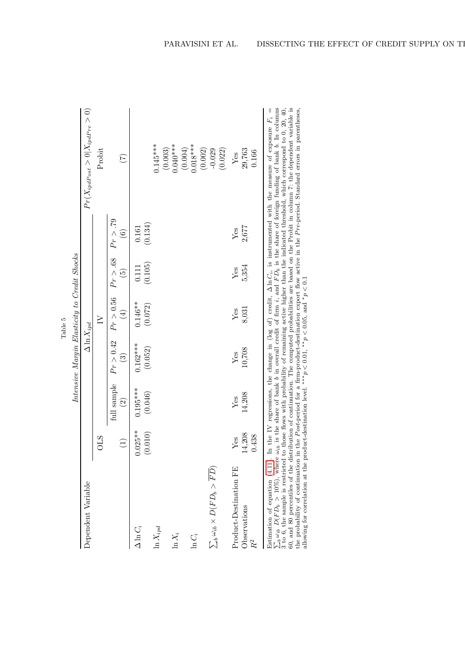|                                                                                                                                                |                        |                                   | Intensive Margin Elasticity to Credit Shocks |                            |                              |                                   |                                                                                                                                                                                                                                                                                                                                                                                                                                                                                                                                                                                                                                                                                                                    |
|------------------------------------------------------------------------------------------------------------------------------------------------|------------------------|-----------------------------------|----------------------------------------------|----------------------------|------------------------------|-----------------------------------|--------------------------------------------------------------------------------------------------------------------------------------------------------------------------------------------------------------------------------------------------------------------------------------------------------------------------------------------------------------------------------------------------------------------------------------------------------------------------------------------------------------------------------------------------------------------------------------------------------------------------------------------------------------------------------------------------------------------|
| Dependent Variable                                                                                                                             |                        |                                   | $\Delta \ln X_{ipd}$                         |                            |                              |                                   | $Pr(X_{ipdPost} > 0   X_{ipdPre} > 0)$                                                                                                                                                                                                                                                                                                                                                                                                                                                                                                                                                                                                                                                                             |
|                                                                                                                                                | <b>OLS</b>             |                                   |                                              | $\geq$                     |                              |                                   | Probit                                                                                                                                                                                                                                                                                                                                                                                                                                                                                                                                                                                                                                                                                                             |
|                                                                                                                                                | $\widehat{\Xi}$        | full sample<br>$\widehat{\Omega}$ | Pr > 0.42<br>$\widehat{\mathbb{C}}$          | $Pr > 0.56$<br>$\bigoplus$ | Pr > 0.68<br>$\widetilde{5}$ | Pr > 79<br>$\widehat{\mathbf{e}}$ | $(\tilde{\mathcal{L}})$                                                                                                                                                                                                                                                                                                                                                                                                                                                                                                                                                                                                                                                                                            |
| $\Delta \ln C_i$                                                                                                                               | $0.025**$              | $0.195***$                        | $0.162***$                                   | $0.146***$                 | 0.111                        | 0.161                             |                                                                                                                                                                                                                                                                                                                                                                                                                                                                                                                                                                                                                                                                                                                    |
| $\ln X_{ipd}$                                                                                                                                  | (0.010)                | (0.046)                           | (0.052)                                      | (0.072)                    | (0.105)                      | (0.134)                           | $0.145***$                                                                                                                                                                                                                                                                                                                                                                                                                                                                                                                                                                                                                                                                                                         |
| $\ln X_i$                                                                                                                                      |                        |                                   |                                              |                            |                              |                                   | $0.040***$<br>(0.003)                                                                                                                                                                                                                                                                                                                                                                                                                                                                                                                                                                                                                                                                                              |
| $\ln C_i$                                                                                                                                      |                        |                                   |                                              |                            |                              |                                   | $0.018***$<br>(0.004)                                                                                                                                                                                                                                                                                                                                                                                                                                                                                                                                                                                                                                                                                              |
| $\sum_b \omega_{ib} \times D(FD_b > FD)$                                                                                                       |                        |                                   |                                              |                            |                              |                                   | (0.002)<br>(0.022)<br>$-0.029$                                                                                                                                                                                                                                                                                                                                                                                                                                                                                                                                                                                                                                                                                     |
| Product-Destination FE<br>Observations<br>$R^2$                                                                                                | 14,208<br>0.438<br>Yes | 14,208<br>${\rm Yes}$             | 10,708<br>Yes                                | 8,031<br>Yes               | 5,354<br>Yes                 | 2,677<br>${\rm Yes}$              | 29,763<br>0.166<br>Yes                                                                                                                                                                                                                                                                                                                                                                                                                                                                                                                                                                                                                                                                                             |
| allowing for correlation at the product-destination level. *** $p < 0.1$ , ** $p < 0.05$ , and * $p < 0.1$<br>Estimation of equation (4.11). 1 |                        |                                   |                                              |                            |                              |                                   | $\sum_{b} \omega_{ib} D(FD_b > 10\%)$ , where $\omega_{ib}$ is the share of bank b in overall credit of firm i, and FD <sub>b</sub> is the share of foreign funding of bank b. In columns 3 to 6, the sample is restricted to those flows with probability of<br>In the IV regressions, the change in (log of) credit, $\Delta \ln C_i$ , is instrumented with the measure of exposure $F_i =$<br>60, and 80 percentiles of the distribution of continuation. The computed probabilities are based on the Probit in column 7: the dependent variable is<br>the probability of continuation in the Post-period for a firm-product-destination export flow active in the Pre-period. Standard errors in parentheses, |

<span id="page-22-0"></span>

| ю     |   |
|-------|---|
| Table |   |
|       | ř |

allowing for correlation at the product-destination level.  $^{**}p < 0.01$ ,  $^{**}p < 0.05$ , and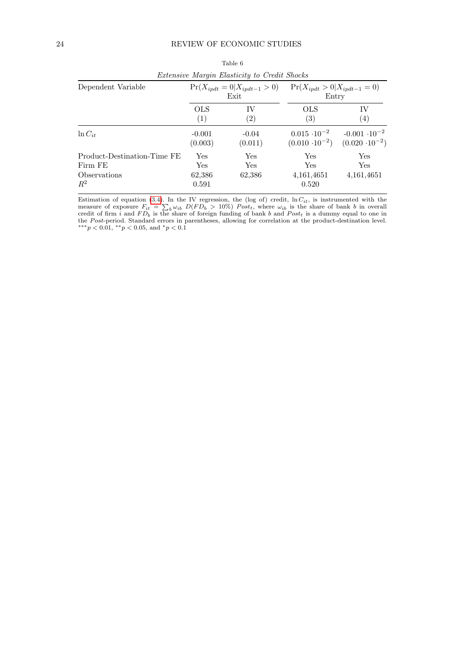<span id="page-23-0"></span>

|                                                                 |                                                | <i>Execusive margin Enasticity to Create Shocks</i> |                                                  |                                                   |
|-----------------------------------------------------------------|------------------------------------------------|-----------------------------------------------------|--------------------------------------------------|---------------------------------------------------|
| Dependent Variable                                              |                                                | $Pr(X_{ipdt} = 0   X_{ipdt-1} > 0)$<br>Exit         | $Pr(X_{ipdt} > 0   X_{ipdt-1} = 0)$<br>Entry     |                                                   |
|                                                                 | <b>OLS</b><br>(1)                              | IV<br>$\left( 2\right)$                             | <b>OLS</b><br>$\left( 3\right)$                  | IV<br>(4)                                         |
| $\ln C_{it}$                                                    | $-0.001$<br>(0.003)                            | $-0.04$<br>(0.011)                                  | $0.015 \cdot 10^{-2}$<br>$(0.010 \cdot 10^{-2})$ | $-0.001 \cdot 10^{-2}$<br>$(0.020 \cdot 10^{-2})$ |
| Product-Destination-Time FE<br>Firm FE<br>Observations<br>$R^2$ | Yes<br>$\operatorname{Yes}$<br>62,386<br>0.591 | Yes<br><b>Yes</b><br>62,386                         | Yes<br><b>Yes</b><br>4, 161, 4651<br>0.520       | Yes<br><b>Yes</b><br>4, 161, 4651                 |

Table 6 Extensive Margin Elasticity to Credit Shocks

Estimation of equation [\(3.4\)](#page-5-0). In the IV regression, the (log of) credit,  $\ln C_{it}$ , is instrumented with the measure of exposure  $F_{it} = \sum_b \omega_{ib} D(FD_b > 10\%)$  Post<sub>t</sub>, where  $\omega_{ib}$  is the share of bank b in overall<br>credit of firm i and  $FD_b$  is the share of foreign funding of bank b and Post<sub>t</sub> is a dummy equal to one in<br>the Post-pe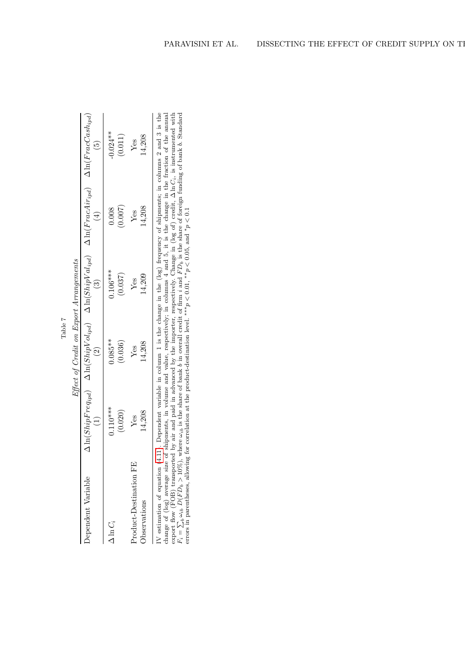|                                               |                                        | $Effect of Credit on Expert Arrangements$ |                       |                  |                                                                                                                                                |
|-----------------------------------------------|----------------------------------------|-------------------------------------------|-----------------------|------------------|------------------------------------------------------------------------------------------------------------------------------------------------|
| Dependent Variable                            | $\bigoplus$                            |                                           |                       |                  | $\text{Min}(ShipFreq_{ipd})$ $\Delta \ln(ShipVol_{ipd})$ $\Delta \ln(ShipVal_{ipd})$ $\Delta \ln(FracAir_{ipd})$ $\Delta \ln(Frac{Gal_{ipd}})$ |
| $\Delta \ln C_i$                              | $0.110***$<br>(0.020)                  | $0.085**$<br>(0.036)                      | $0.106***$<br>(0.037) | (700.0)<br>0.008 | $-0.024**$<br>(0.011)                                                                                                                          |
| Product-Destination FE<br><b>Observations</b> | 4.208<br>Yes                           | 14,208<br>Yes                             | 4,209<br>$Y$ es       | 14,208<br>Yes    | 14,208<br>$Y$ es                                                                                                                               |
|                                               | $\mathfrak{g}$<br>$\ddot{\phantom{a}}$ | マンクリス しょうしょう アイ・プログラム アイ・プレー アイ・プレー       |                       |                  | こうしゅう インター・コード                                                                                                                                 |

<span id="page-24-0"></span>Table 7

IV estimation of equation [\(4.11\)](#page-8-1). Dependent variable in column 1 is the change in the (log) frequency of shipments; in columns 2 and 3 is the change of (log) average size of shipments, in volume and value, respectively; in columns 4 and 5, it is the change in the fraction of the annual export flow (FOB) transported by air and paid in advanced by the importer, respectively. Change in (log of) credit, ∆ ln  $C_i$ , is instrumented with  $F_i =$  $\triangleright$  $b \, \omega_{ib}$  $D(FD_b > 10\%)$ , where  $\omega_{ib}$  is the share of bank b in overall credit of firm *i* and FD<sub>b</sub> is the share of foreign funding of bank b. Standard model of the share of the share of bank b. Standard errors in parentheses, allowing for correlation at the product-destination level. ∗∗∗p < 0.01, ∗∗p < 0.05, and  $p < 0.1$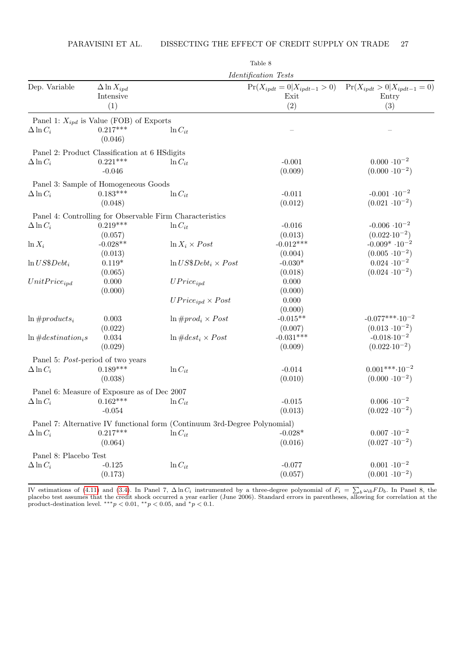<span id="page-26-0"></span>

|                                                 |                                          |                                                                           | Identification Tests                               |                                                      |
|-------------------------------------------------|------------------------------------------|---------------------------------------------------------------------------|----------------------------------------------------|------------------------------------------------------|
| Dep. Variable                                   | $\Delta \ln X_{ipd}$<br>Intensive<br>(1) |                                                                           | $Pr(X_{ipdt} = 0   X_{ipdt-1} > 0)$<br>Exit<br>(2) | $\Pr(X_{ipdt} > 0   X_{ipdt-1} = 0)$<br>Entry<br>(3) |
| Panel 1: $X_{ipd}$ is Value (FOB) of Exports    |                                          |                                                                           |                                                    |                                                      |
| $\Delta \ln C_i$                                | $0.217***$<br>(0.046)                    | $\ln C_{it}$                                                              |                                                    |                                                      |
| Panel 2: Product Classification at 6 HSdigits   |                                          |                                                                           |                                                    |                                                      |
| $\Delta \ln C_i$                                | $0.221***$<br>$-0.046$                   | $\ln C_{it}$                                                              | $-0.001$<br>(0.009)                                | $0.000 \cdot 10^{-2}$<br>$(0.000 \cdot 10^{-2})$     |
| Panel 3: Sample of Homogeneous Goods            |                                          |                                                                           |                                                    |                                                      |
| $\Delta \ln C_i$                                | $0.183***$<br>(0.048)                    | $\ln C_{it}$                                                              | $-0.011$<br>(0.012)                                | $-0.001 \cdot 10^{-2}$<br>$(0.021 \cdot 10^{-2})$    |
|                                                 |                                          | Panel 4: Controlling for Observable Firm Characteristics                  |                                                    |                                                      |
| $\Delta \ln C_i$                                | $0.219***$<br>(0.057)                    | $\ln C_{it}$                                                              | $-0.016$<br>(0.013)                                | $-0.006 \cdot 10^{-2}$<br>$(0.022 \cdot 10^{-2})$    |
| $\ln X_i$                                       | $-0.028**$<br>(0.013)                    | $\ln X_i \times Post$                                                     | $-0.012***$<br>(0.004)                             | $-0.009* \cdot 10^{-2}$<br>$(0.005 \cdot 10^{-2})$   |
| $\ln US\$Debt_i$                                | $0.119*$<br>(0.065)                      | $\ln US\$Debt_i \times Post$                                              | $-0.030*$<br>(0.018)                               | $0.024 \cdot 10^{-2}$<br>$(0.024 \cdot 10^{-2})$     |
| $UnitPrice_{ipd}$                               | 0.000<br>(0.000)                         | $UPrice_{ipd}$                                                            | 0.000<br>(0.000)                                   |                                                      |
|                                                 |                                          | $UPrice_{ipd} \times Post$                                                | 0.000<br>(0.000)                                   |                                                      |
| $\ln \# products_i$                             | $\,0.003\,$<br>(0.022)                   | $\ln \# prod_i \times Post$                                               | $-0.015**$<br>(0.007)                              | $-0.077****10^{-2}$<br>$(0.013 \cdot 10^{-2})$       |
| $\ln \# destination_i$ s                        | $\,0.034\,$<br>(0.029)                   | $\ln \# dest_i \times Post$                                               | $-0.031***$<br>(0.009)                             | $-0.018 \cdot 10^{-2}$<br>$(0.022 \cdot 10^{-2})$    |
| Panel 5: <i>Post</i> -period of two years       |                                          |                                                                           |                                                    |                                                      |
| $\Delta \ln C_i$                                | $0.189***$<br>(0.038)                    | $\ln C_{it}$                                                              | $-0.014$<br>(0.010)                                | $0.001****10^{-2}$<br>$(0.000 \cdot 10^{-2})$        |
| Panel 6: Measure of Exposure as of Dec $2007\,$ |                                          |                                                                           |                                                    |                                                      |
| $\Delta \ln C_i$                                | $0.162***$<br>$-0.054$                   | $\ln C_{it}$                                                              | $-0.015$<br>(0.013)                                | $0.006 \cdot 10^{-2}$<br>$(0.022 \cdot 10^{-2})$     |
|                                                 |                                          | Panel 7: Alternative IV functional form (Continuum 3rd-Degree Polynomial) |                                                    |                                                      |
| $\Delta \ln C_i$                                | $0.217***$<br>(0.064)                    | $\ln C_{it}$                                                              | $-0.028*$<br>(0.016)                               | $0.007 \cdot 10^{-2}$<br>$(0.027 \cdot 10^{-2})$     |
| Panel 8: Placebo Test                           |                                          |                                                                           |                                                    |                                                      |
| $\Delta \ln C_i$                                | $-0.125$<br>(0.173)                      | $\ln C_{it}$                                                              | $-0.077$<br>(0.057)                                | $0.001 \cdot 10^{-2}$<br>$(0.001 \cdot 10^{-2})$     |

Table 8

IV estimations of [\(4.11\)](#page-8-1) and [\(3.4\)](#page-5-0). In Panel 7,  $\Delta \ln C_i$  instrumented by a three-degree polynomial of  $F_i = \sum_b \omega_{ib} FD_b$ . In Panel 8, the placebo test assumes that the credit shock occurred a year earlier (June 2006). Standa